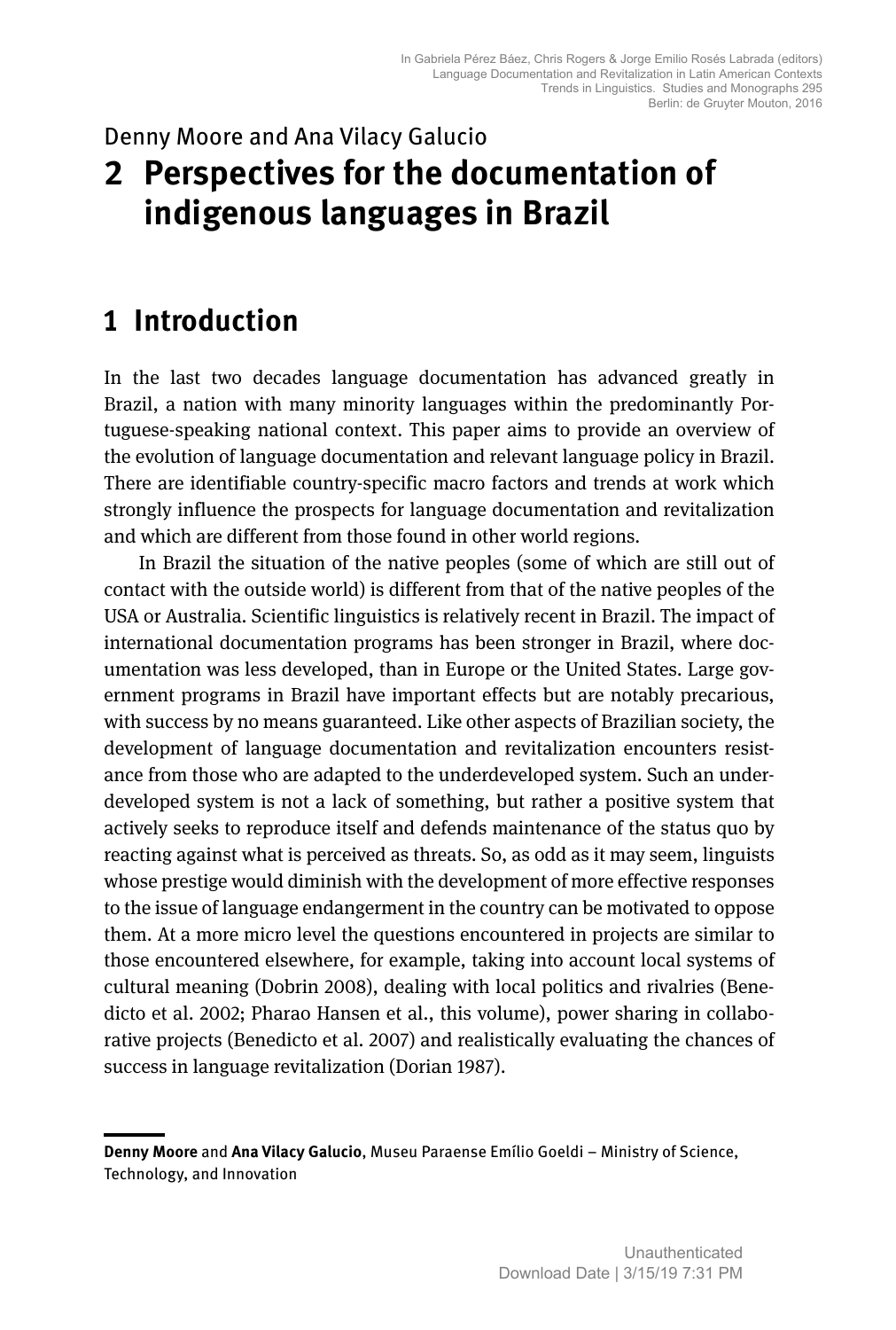Denny Moore and Ana Vilacy Galucio

# **2 Perspectives for the documentation of indigenous languages in Brazil**

## **1 Introduction**

In the last two decades language documentation has advanced greatly in Brazil, a nation with many minority languages within the predominantly Portuguese-speaking national context. This paper aims to provide an overview of the evolution of language documentation and relevant language policy in Brazil. There are identifiable country-specific macro factors and trends at work which strongly influence the prospects for language documentation and revitalization and which are different from those found in other world regions.

In Brazil the situation of the native peoples (some of which are still out of contact with the outside world) is different from that of the native peoples of the USA or Australia. Scientific linguistics is relatively recent in Brazil. The impact of international documentation programs has been stronger in Brazil, where documentation was less developed, than in Europe or the United States. Large government programs in Brazil have important effects but are notably precarious, with success by no means guaranteed. Like other aspects of Brazilian society, the development of language documentation and revitalization encounters resistance from those who are adapted to the underdeveloped system. Such an underdeveloped system is not a lack of something, but rather a positive system that actively seeks to reproduce itself and defends maintenance of the status quo by reacting against what is perceived as threats. So, as odd as it may seem, linguists whose prestige would diminish with the development of more effective responses to the issue of language endangerment in the country can be motivated to oppose them. At a more micro level the questions encountered in projects are similar to those encountered elsewhere, for example, taking into account local systems of cultural meaning (Dobrin 2008), dealing with local politics and rivalries (Benedicto et al. 2002; Pharao Hansen et al., this volume), power sharing in collaborative projects (Benedicto et al. 2007) and realistically evaluating the chances of success in language revitalization (Dorian 1987).

**Denny Moore** and **Ana Vilacy Galucio**, Museu Paraense Emílio Goeldi – Ministry of Science, Technology, and Innovation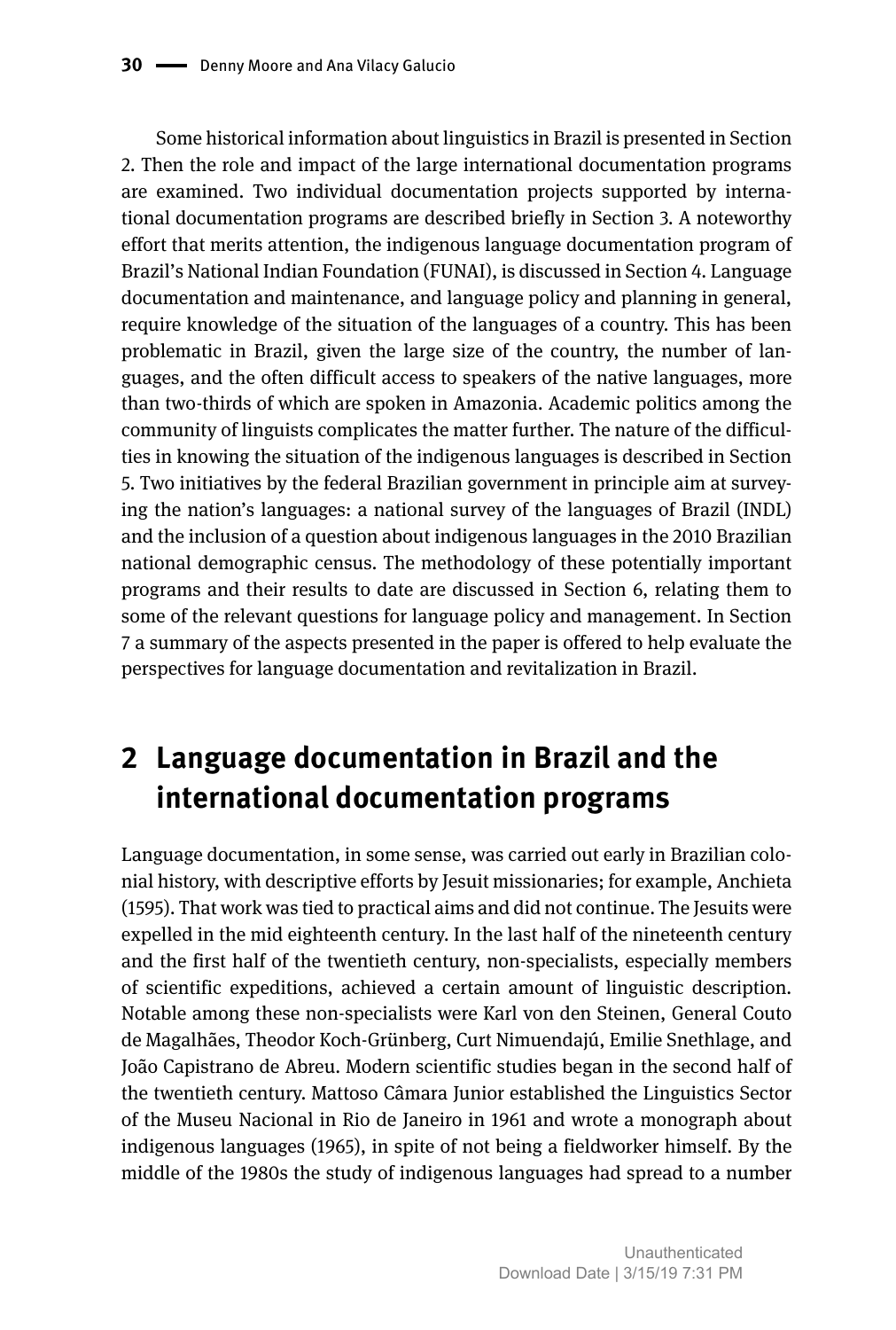Some historical information about linguistics in Brazil is presented in Section 2. Then the role and impact of the large international documentation programs are examined. Two individual documentation projects supported by international documentation programs are described briefly in Section 3. A noteworthy effort that merits attention, the indigenous language documentation program of Brazil's National Indian Foundation (FUNAI), is discussed in Section 4. Language documentation and maintenance, and language policy and planning in general, require knowledge of the situation of the languages of a country. This has been problematic in Brazil, given the large size of the country, the number of languages, and the often difficult access to speakers of the native languages, more than two-thirds of which are spoken in Amazonia. Academic politics among the community of linguists complicates the matter further. The nature of the difficulties in knowing the situation of the indigenous languages is described in Section 5. Two initiatives by the federal Brazilian government in principle aim at surveying the nation's languages: a national survey of the languages of Brazil (INDL) and the inclusion of a question about indigenous languages in the 2010 Brazilian national demographic census. The methodology of these potentially important programs and their results to date are discussed in Section 6, relating them to some of the relevant questions for language policy and management. In Section 7 a summary of the aspects presented in the paper is offered to help evaluate the perspectives for language documentation and revitalization in Brazil.

# **2 Language documentation in Brazil and the international documentation programs**

Language documentation, in some sense, was carried out early in Brazilian colonial history, with descriptive efforts by Jesuit missionaries; for example, Anchieta (1595). That work was tied to practical aims and did not continue. The Jesuits were expelled in the mid eighteenth century. In the last half of the nineteenth century and the first half of the twentieth century, non-specialists, especially members of scientific expeditions, achieved a certain amount of linguistic description. Notable among these non-specialists were Karl von den Steinen, General Couto de Magalhães, Theodor Koch-Grünberg, Curt Nimuendajú, Emilie Snethlage, and João Capistrano de Abreu. Modern scientific studies began in the second half of the twentieth century. Mattoso Câmara Junior established the Linguistics Sector of the Museu Nacional in Rio de Janeiro in 1961 and wrote a monograph about indigenous languages (1965), in spite of not being a fieldworker himself. By the middle of the 1980s the study of indigenous languages had spread to a number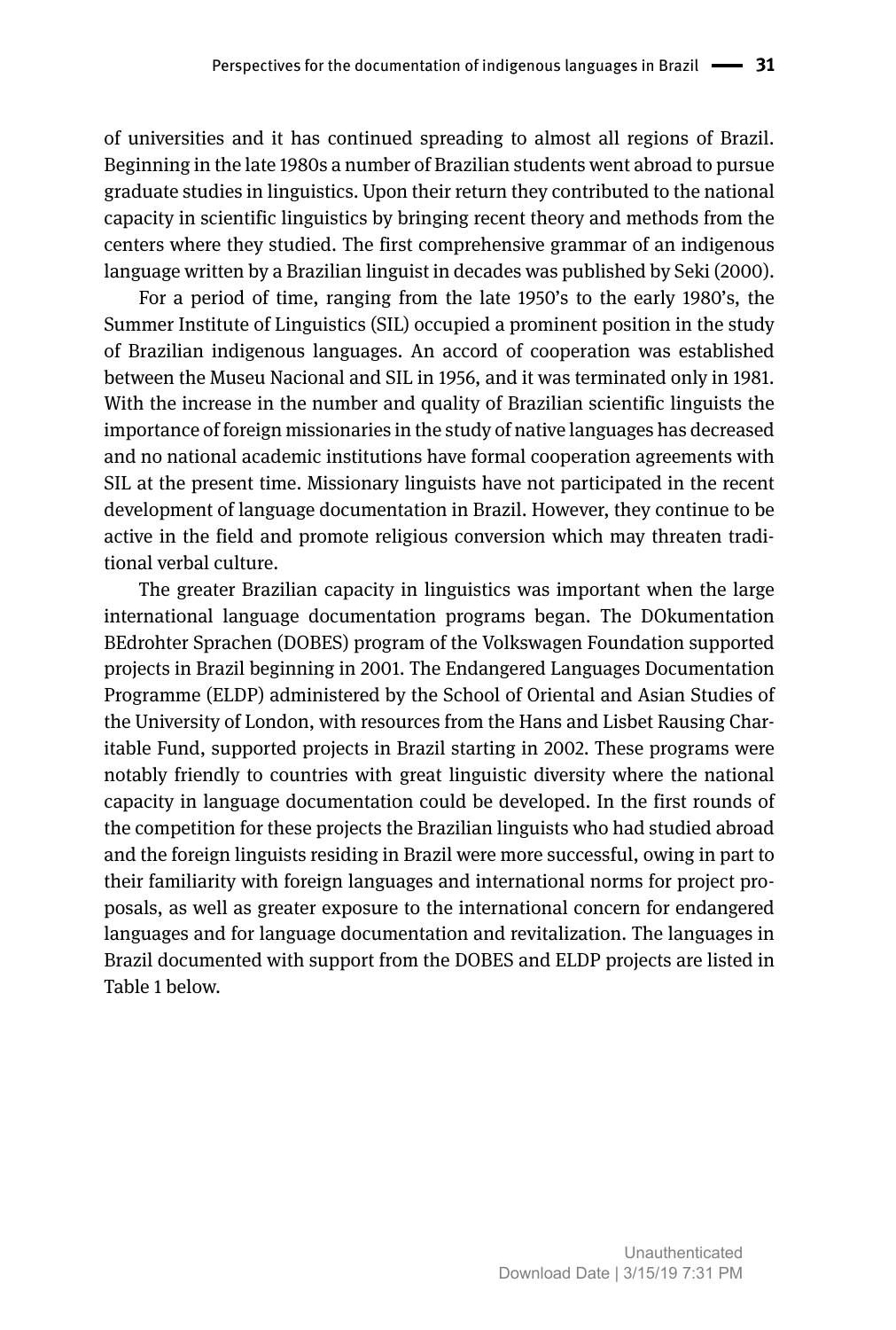of universities and it has continued spreading to almost all regions of Brazil. Beginning in the late 1980s a number of Brazilian students went abroad to pursue graduate studies in linguistics. Upon their return they contributed to the national capacity in scientific linguistics by bringing recent theory and methods from the centers where they studied. The first comprehensive grammar of an indigenous language written by a Brazilian linguist in decades was published by Seki (2000).

For a period of time, ranging from the late 1950's to the early 1980's, the Summer Institute of Linguistics (SIL) occupied a prominent position in the study of Brazilian indigenous languages. An accord of cooperation was established between the Museu Nacional and SIL in 1956, and it was terminated only in 1981. With the increase in the number and quality of Brazilian scientific linguists the importance of foreign missionaries in the study of native languages has decreased and no national academic institutions have formal cooperation agreements with SIL at the present time. Missionary linguists have not participated in the recent development of language documentation in Brazil. However, they continue to be active in the field and promote religious conversion which may threaten traditional verbal culture.

The greater Brazilian capacity in linguistics was important when the large international language documentation programs began. The DOkumentation BEdrohter Sprachen (DOBES) program of the Volkswagen Foundation supported projects in Brazil beginning in 2001. The Endangered Languages Documentation Programme (ELDP) administered by the School of Oriental and Asian Studies of the University of London, with resources from the Hans and Lisbet Rausing Charitable Fund, supported projects in Brazil starting in 2002. These programs were notably friendly to countries with great linguistic diversity where the national capacity in language documentation could be developed. In the first rounds of the competition for these projects the Brazilian linguists who had studied abroad and the foreign linguists residing in Brazil were more successful, owing in part to their familiarity with foreign languages and international norms for project proposals, as well as greater exposure to the international concern for endangered languages and for language documentation and revitalization. The languages in Brazil documented with support from the DOBES and ELDP projects are listed in Table 1 below.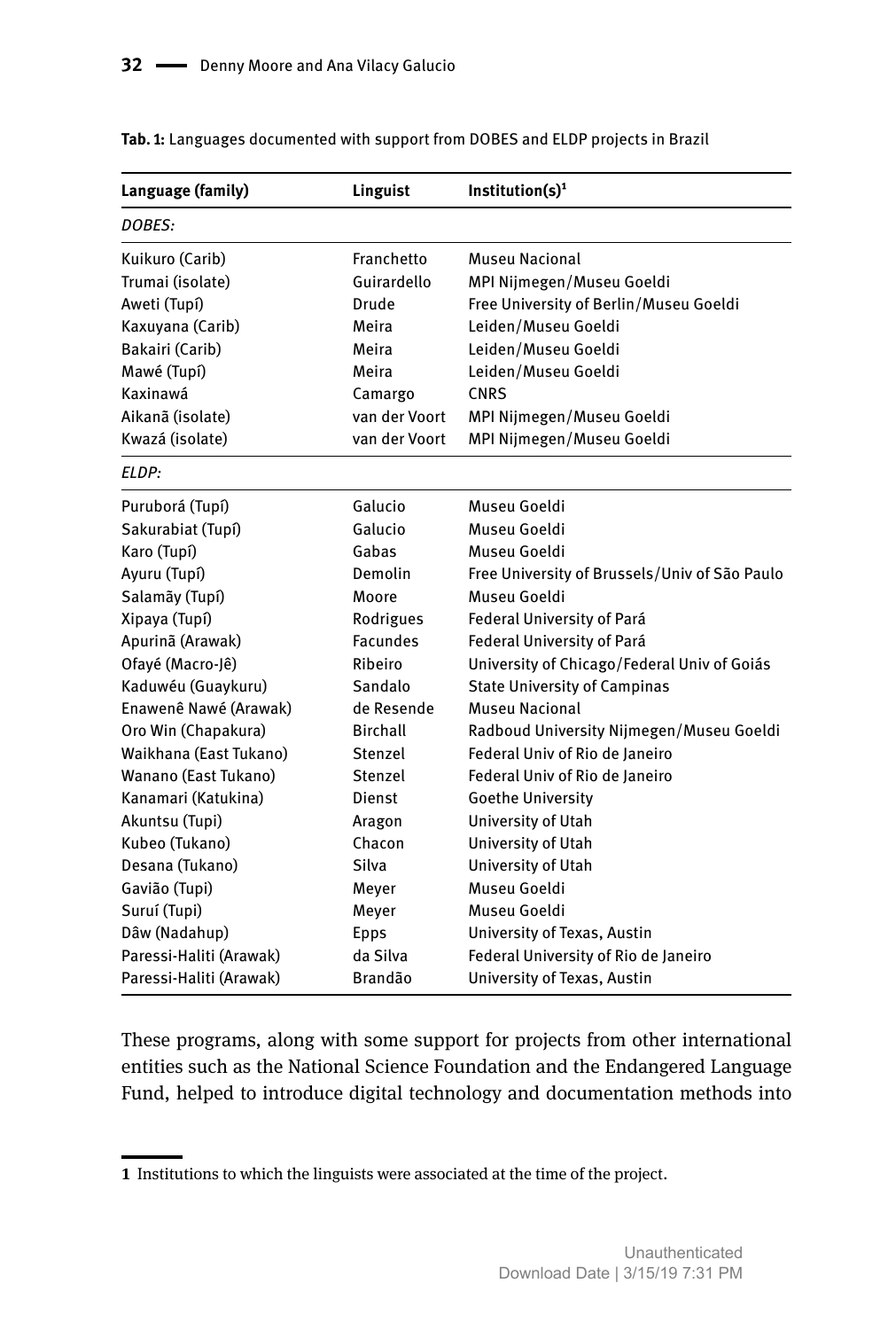| Language (family)       | Linguist        | Institution $(s)^1$                           |  |
|-------------------------|-----------------|-----------------------------------------------|--|
| DOBES:                  |                 |                                               |  |
| Kuikuro (Carib)         | Franchetto      | Museu Nacional                                |  |
| Trumai (isolate)        | Guirardello     | MPI Nijmegen/Museu Goeldi                     |  |
| Aweti (Tupí)            | Drude           | Free University of Berlin/Museu Goeldi        |  |
| Kaxuyana (Carib)        | Meira           | Leiden/Museu Goeldi                           |  |
| Bakairi (Carib)         | Meira           | Leiden/Museu Goeldi                           |  |
| Mawé (Tupí)             | Meira           | Leiden/Museu Goeldi                           |  |
| Kaxinawá                | Camargo         | <b>CNRS</b>                                   |  |
| Aikanã (isolate)        | van der Voort   | MPI Nijmegen/Museu Goeldi                     |  |
| Kwazá (isolate)         | van der Voort   | MPI Nijmegen/Museu Goeldi                     |  |
| ELDP:                   |                 |                                               |  |
| Puruborá (Tupí)         | Galucio         | Museu Goeldi                                  |  |
| Sakurabiat (Tupí)       | Galucio         | Museu Goeldi                                  |  |
| Karo (Tupí)             | Gabas           | Museu Goeldi                                  |  |
| Ayuru (Tupí)            | Demolin         | Free University of Brussels/Univ of São Paulo |  |
| Salamãy (Tupí)          | Moore           | Museu Goeldi                                  |  |
| Xipaya (Tupí)           | Rodrigues       | Federal University of Pará                    |  |
| Apurinã (Arawak)        | <b>Facundes</b> | Federal University of Pará                    |  |
| Ofayé (Macro-Jê)        | Ribeiro         | University of Chicago/Federal Univ of Goiás   |  |
| Kaduwéu (Guaykuru)      | Sandalo         | <b>State University of Campinas</b>           |  |
| Enawenê Nawé (Arawak)   | de Resende      | <b>Museu Nacional</b>                         |  |
| Oro Win (Chapakura)     | Birchall        | Radboud University Nijmegen/Museu Goeldi      |  |
| Waikhana (East Tukano)  | Stenzel         | Federal Univ of Rio de Janeiro                |  |
| Wanano (East Tukano)    | Stenzel         | Federal Univ of Rio de Janeiro                |  |
| Kanamari (Katukina)     | Dienst          | <b>Goethe University</b>                      |  |
| Akuntsu (Tupi)          | Aragon          | University of Utah                            |  |
| Kubeo (Tukano)          | Chacon          | University of Utah                            |  |
| Desana (Tukano)         | Silva           | University of Utah                            |  |
| Gavião (Tupi)           | Meyer           | Museu Goeldi                                  |  |
| Suruí (Tupi)            | Meyer           | Museu Goeldi                                  |  |
| Dâw (Nadahup)           | <b>Epps</b>     | University of Texas, Austin                   |  |
| Paressi-Haliti (Arawak) | da Silva        | Federal University of Rio de Janeiro          |  |
| Paressi-Haliti (Arawak) | Brandão         | University of Texas, Austin                   |  |

**Tab. 1:** Languages documented with support from DOBES and ELDP projects in Brazil

These programs, along with some support for projects from other international entities such as the National Science Foundation and the Endangered Language Fund, helped to introduce digital technology and documentation methods into

**<sup>1</sup>** Institutions to which the linguists were associated at the time of the project.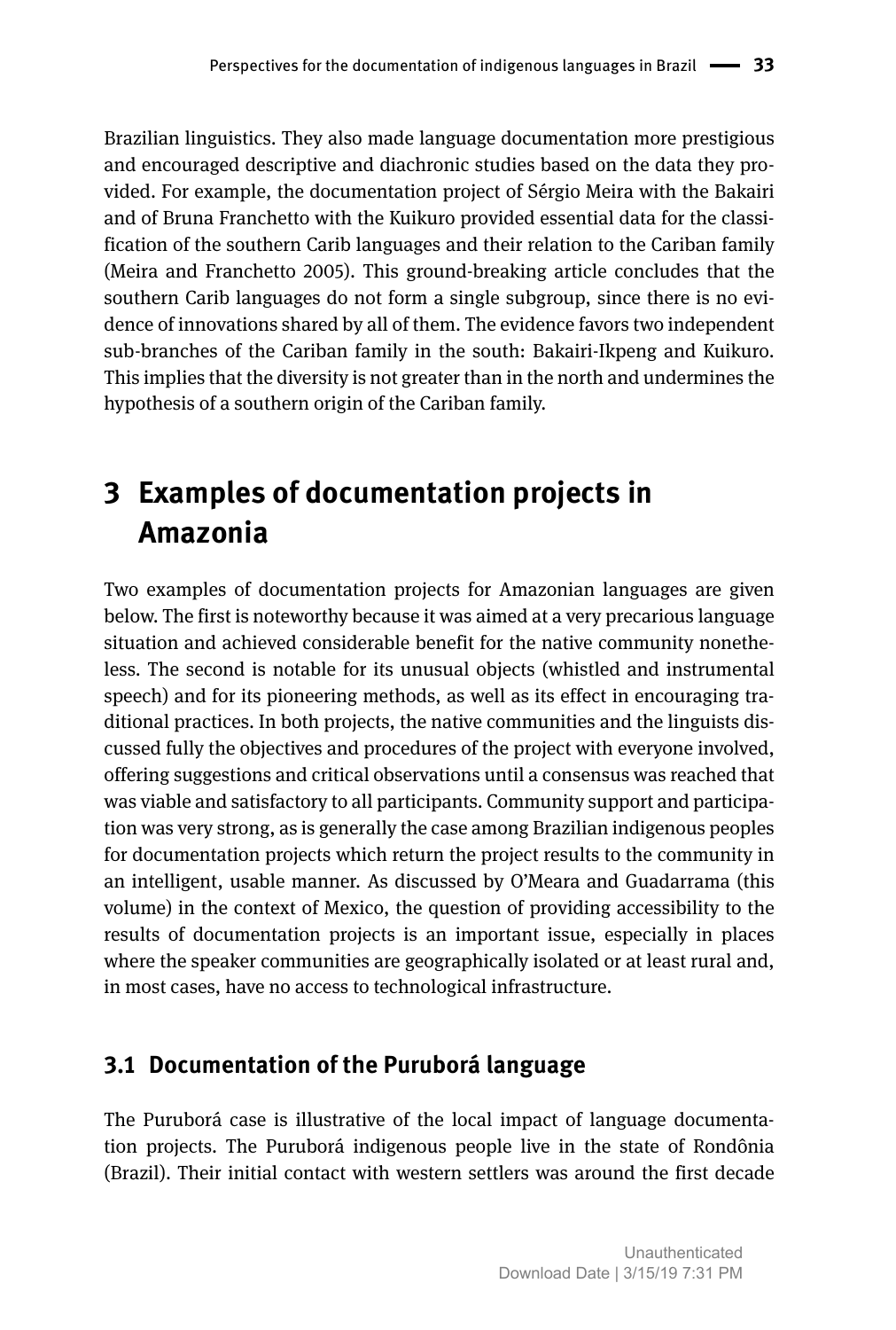Brazilian linguistics. They also made language documentation more prestigious and encouraged descriptive and diachronic studies based on the data they provided. For example, the documentation project of Sérgio Meira with the Bakairi and of Bruna Franchetto with the Kuikuro provided essential data for the classification of the southern Carib languages and their relation to the Cariban family (Meira and Franchetto 2005). This ground-breaking article concludes that the southern Carib languages do not form a single subgroup, since there is no evidence of innovations shared by all of them. The evidence favors two independent sub-branches of the Cariban family in the south: Bakairi-Ikpeng and Kuikuro. This implies that the diversity is not greater than in the north and undermines the hypothesis of a southern origin of the Cariban family.

# **3 Examples of documentation projects in Amazonia**

Two examples of documentation projects for Amazonian languages are given below. The first is noteworthy because it was aimed at a very precarious language situation and achieved considerable benefit for the native community nonetheless. The second is notable for its unusual objects (whistled and instrumental speech) and for its pioneering methods, as well as its effect in encouraging traditional practices. In both projects, the native communities and the linguists discussed fully the objectives and procedures of the project with everyone involved, offering suggestions and critical observations until a consensus was reached that was viable and satisfactory to all participants. Community support and participation was very strong, as is generally the case among Brazilian indigenous peoples for documentation projects which return the project results to the community in an intelligent, usable manner. As discussed by O'Meara and Guadarrama (this volume) in the context of Mexico, the question of providing accessibility to the results of documentation projects is an important issue, especially in places where the speaker communities are geographically isolated or at least rural and, in most cases, have no access to technological infrastructure.

#### **3.1 Documentation of the Puruborá language**

The Puruborá case is illustrative of the local impact of language documentation projects. The Puruborá indigenous people live in the state of Rondônia (Brazil). Their initial contact with western settlers was around the first decade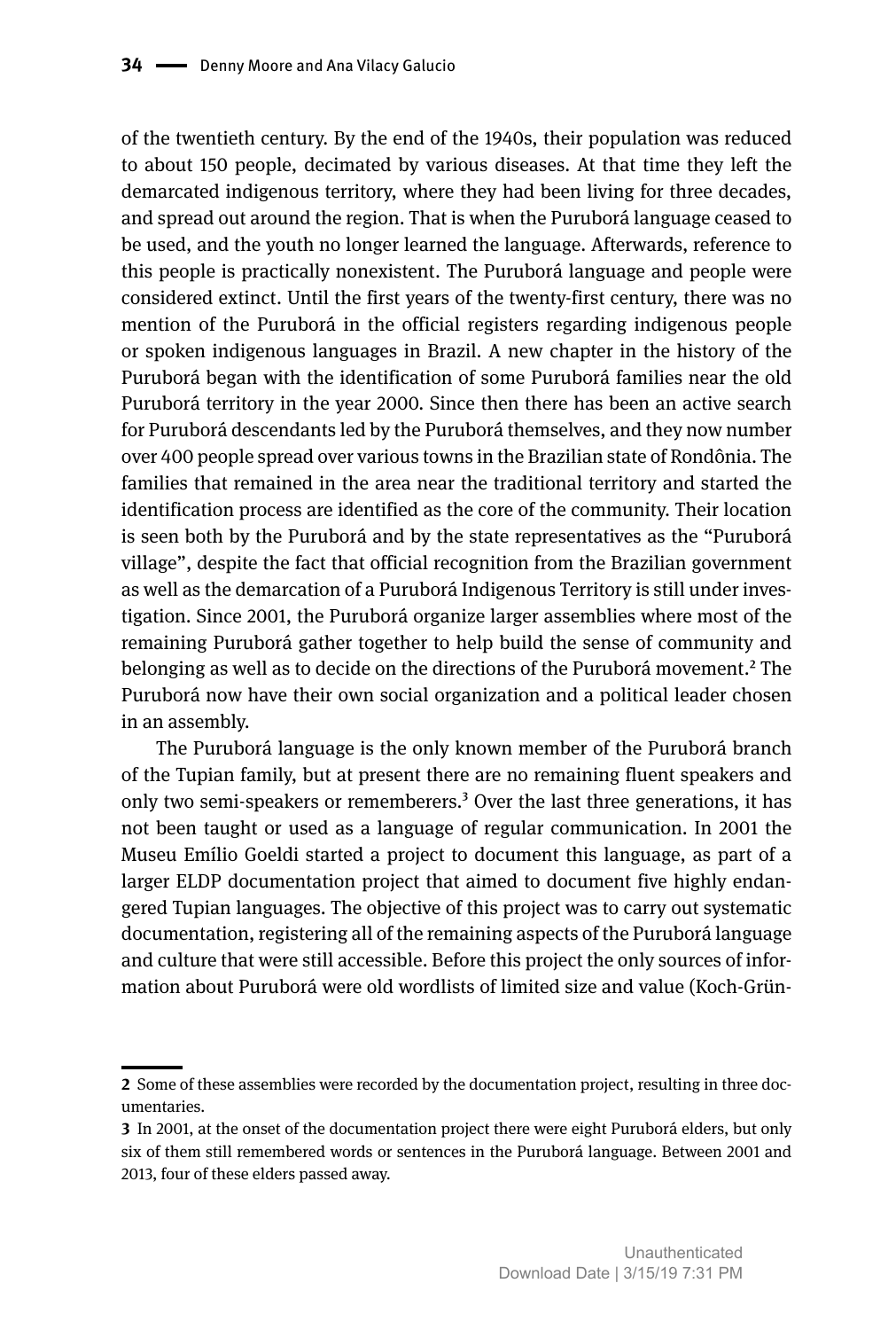of the twentieth century. By the end of the 1940s, their population was reduced to about 150 people, decimated by various diseases. At that time they left the demarcated indigenous territory, where they had been living for three decades, and spread out around the region. That is when the Puruborá language ceased to be used, and the youth no longer learned the language. Afterwards, reference to this people is practically nonexistent. The Puruborá language and people were considered extinct. Until the first years of the twenty-first century, there was no mention of the Puruborá in the official registers regarding indigenous people or spoken indigenous languages in Brazil. A new chapter in the history of the Puruborá began with the identification of some Puruborá families near the old Puruborá territory in the year 2000. Since then there has been an active search for Puruborá descendants led by the Puruborá themselves, and they now number over 400 people spread over various towns in the Brazilian state of Rondônia. The families that remained in the area near the traditional territory and started the identification process are identified as the core of the community. Their location is seen both by the Puruborá and by the state representatives as the "Puruborá village", despite the fact that official recognition from the Brazilian government as well as the demarcation of a Puruborá Indigenous Territory is still under investigation. Since 2001, the Puruborá organize larger assemblies where most of the remaining Puruborá gather together to help build the sense of community and belonging as well as to decide on the directions of the Puruborá movement.<sup>2</sup> The Puruborá now have their own social organization and a political leader chosen in an assembly.

The Puruborá language is the only known member of the Puruborá branch of the Tupian family, but at present there are no remaining fluent speakers and only two semi-speakers or rememberers.3 Over the last three generations, it has not been taught or used as a language of regular communication. In 2001 the Museu Emílio Goeldi started a project to document this language, as part of a larger ELDP documentation project that aimed to document five highly endangered Tupian languages. The objective of this project was to carry out systematic documentation, registering all of the remaining aspects of the Puruborá language and culture that were still accessible. Before this project the only sources of information about Puruborá were old wordlists of limited size and value (Koch-Grün-

**<sup>2</sup>** Some of these assemblies were recorded by the documentation project, resulting in three documentaries.

**<sup>3</sup>** In 2001, at the onset of the documentation project there were eight Puruborá elders, but only six of them still remembered words or sentences in the Puruborá language. Between 2001 and 2013, four of these elders passed away.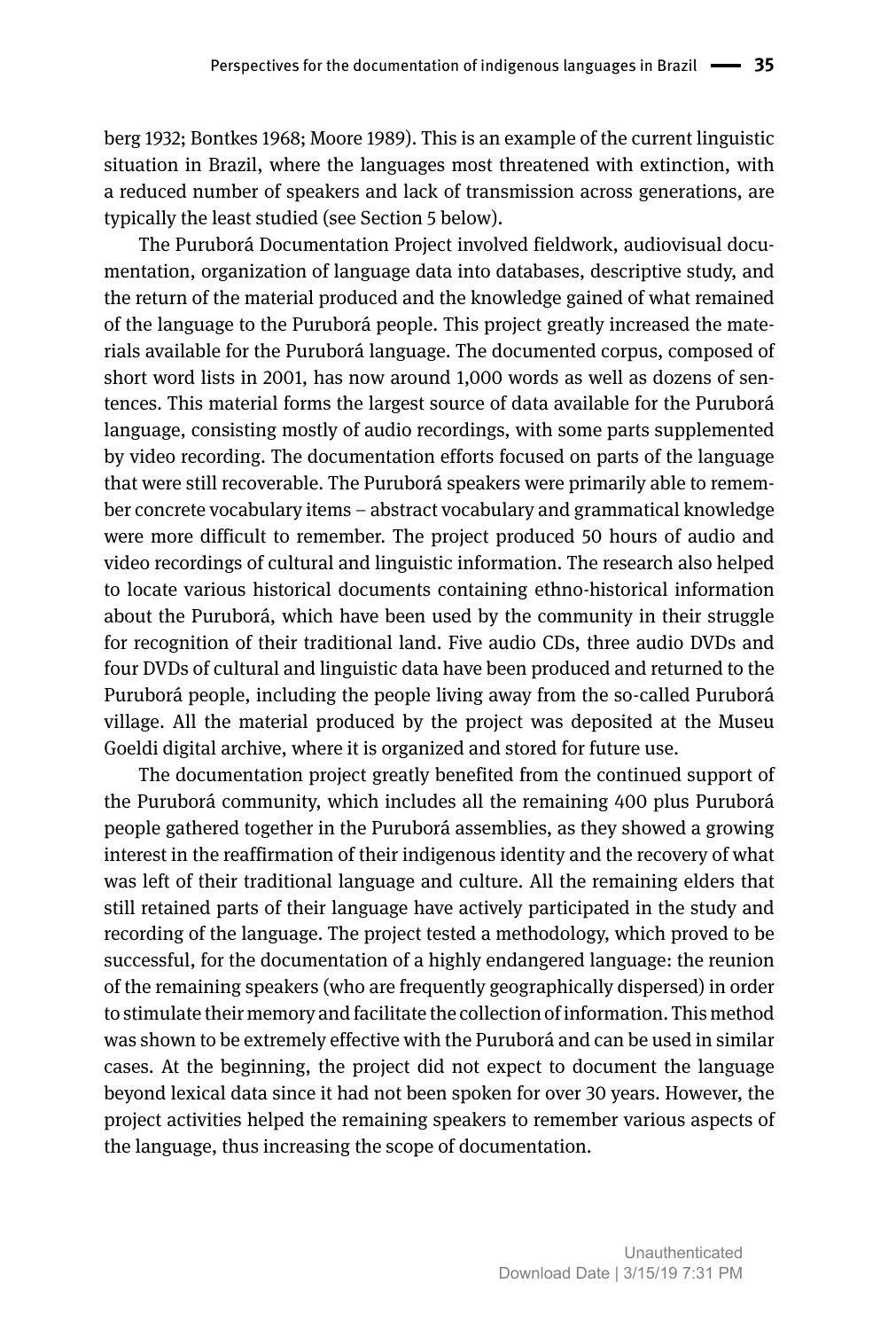berg 1932; Bontkes 1968; Moore 1989). This is an example of the current linguistic situation in Brazil, where the languages most threatened with extinction, with a reduced number of speakers and lack of transmission across generations, are typically the least studied (see Section 5 below).

The Puruborá Documentation Project involved fieldwork, audiovisual documentation, organization of language data into databases, descriptive study, and the return of the material produced and the knowledge gained of what remained of the language to the Puruborá people. This project greatly increased the materials available for the Puruborá language. The documented corpus, composed of short word lists in 2001, has now around 1,000 words as well as dozens of sentences. This material forms the largest source of data available for the Puruborá language, consisting mostly of audio recordings, with some parts supplemented by video recording. The documentation efforts focused on parts of the language that were still recoverable. The Puruborá speakers were primarily able to remember concrete vocabulary items – abstract vocabulary and grammatical knowledge were more difficult to remember. The project produced 50 hours of audio and video recordings of cultural and linguistic information. The research also helped to locate various historical documents containing ethno-historical information about the Puruborá, which have been used by the community in their struggle for recognition of their traditional land. Five audio CDs, three audio DVDs and four DVDs of cultural and linguistic data have been produced and returned to the Puruborá people, including the people living away from the so-called Puruborá village. All the material produced by the project was deposited at the Museu Goeldi digital archive, where it is organized and stored for future use.

The documentation project greatly benefited from the continued support of the Puruborá community, which includes all the remaining 400 plus Puruborá people gathered together in the Puruborá assemblies, as they showed a growing interest in the reaffirmation of their indigenous identity and the recovery of what was left of their traditional language and culture. All the remaining elders that still retained parts of their language have actively participated in the study and recording of the language. The project tested a methodology, which proved to be successful, for the documentation of a highly endangered language: the reunion of the remaining speakers (who are frequently geographically dispersed) in order to stimulate their memory and facilitate the collection of information. This method was shown to be extremely effective with the Puruborá and can be used in similar cases. At the beginning, the project did not expect to document the language beyond lexical data since it had not been spoken for over 30 years. However, the project activities helped the remaining speakers to remember various aspects of the language, thus increasing the scope of documentation.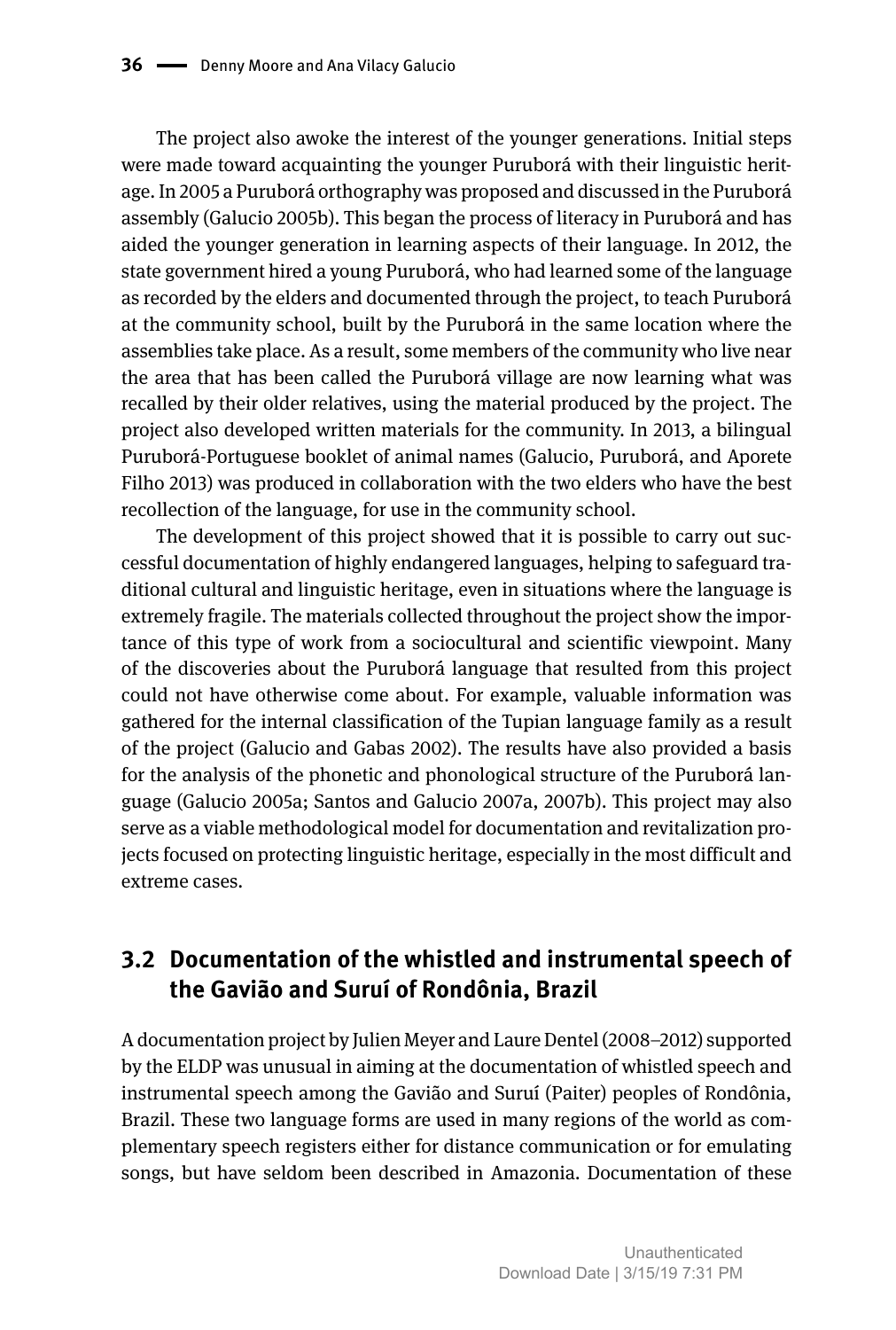The project also awoke the interest of the younger generations. Initial steps were made toward acquainting the younger Puruborá with their linguistic heritage. In 2005 a Puruborá orthography was proposed and discussed in the Puruborá assembly (Galucio 2005b). This began the process of literacy in Puruborá and has aided the younger generation in learning aspects of their language. In 2012, the state government hired a young Puruborá, who had learned some of the language as recorded by the elders and documented through the project, to teach Puruborá at the community school, built by the Puruborá in the same location where the assemblies take place. As a result, some members of the community who live near the area that has been called the Puruborá village are now learning what was recalled by their older relatives, using the material produced by the project. The project also developed written materials for the community. In 2013, a bilingual Puruborá-Portuguese booklet of animal names (Galucio, Puruborá, and Aporete Filho 2013) was produced in collaboration with the two elders who have the best recollection of the language, for use in the community school.

The development of this project showed that it is possible to carry out successful documentation of highly endangered languages, helping to safeguard traditional cultural and linguistic heritage, even in situations where the language is extremely fragile. The materials collected throughout the project show the importance of this type of work from a sociocultural and scientific viewpoint. Many of the discoveries about the Puruborá language that resulted from this project could not have otherwise come about. For example, valuable information was gathered for the internal classification of the Tupian language family as a result of the project (Galucio and Gabas 2002). The results have also provided a basis for the analysis of the phonetic and phonological structure of the Puruborá language (Galucio 2005a; Santos and Galucio 2007a, 2007b). This project may also serve as a viable methodological model for documentation and revitalization projects focused on protecting linguistic heritage, especially in the most difficult and extreme cases.

## **3.2 Documentation of the whistled and instrumental speech of the Gavião and Suruí of Rondônia, Brazil**

A documentation project by Julien Meyer and Laure Dentel (2008–2012) supported by the ELDP was unusual in aiming at the documentation of whistled speech and instrumental speech among the Gavião and Suruí (Paiter) peoples of Rondônia, Brazil. These two language forms are used in many regions of the world as complementary speech registers either for distance communication or for emulating songs, but have seldom been described in Amazonia. Documentation of these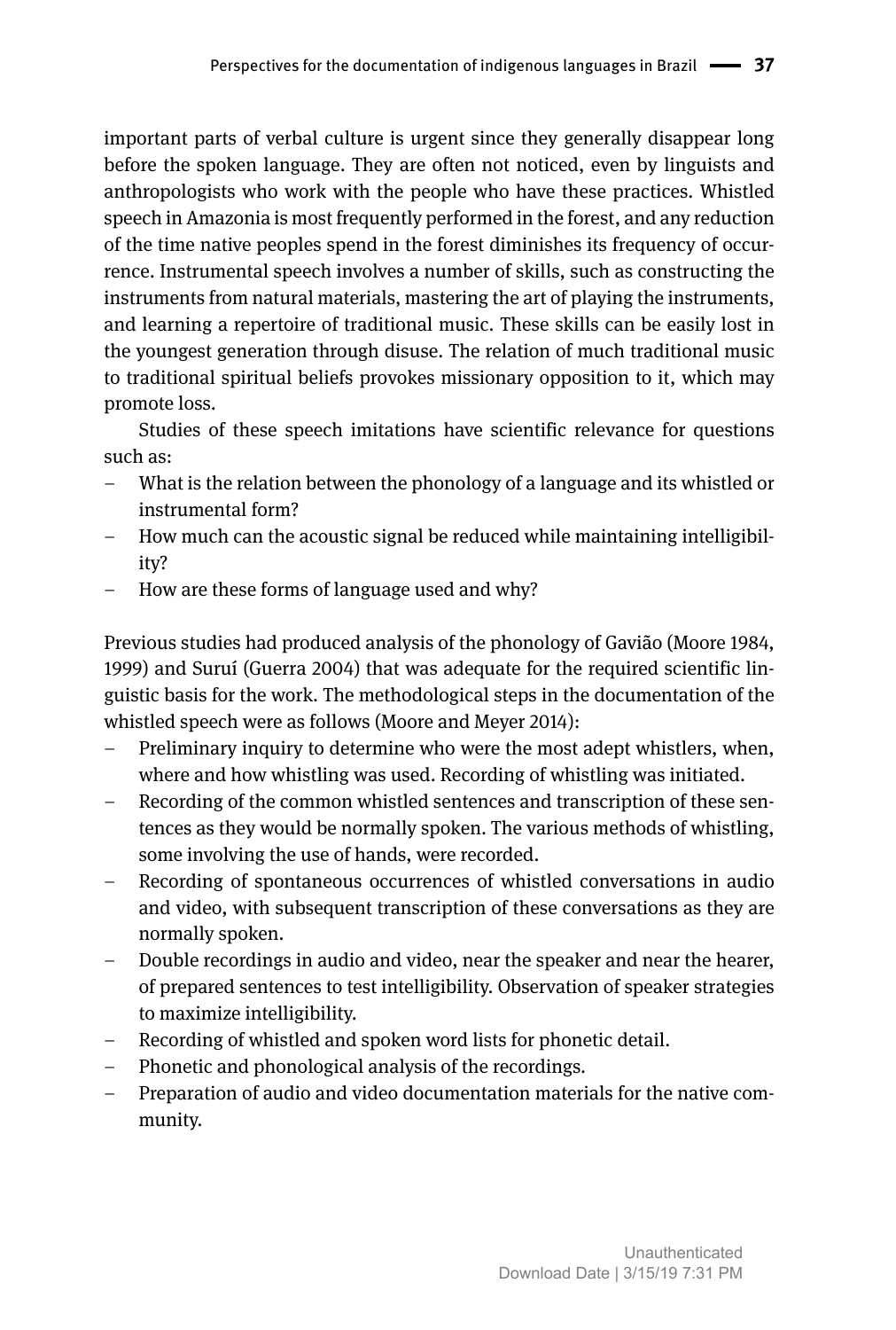important parts of verbal culture is urgent since they generally disappear long before the spoken language. They are often not noticed, even by linguists and anthropologists who work with the people who have these practices. Whistled speech in Amazonia is most frequently performed in the forest, and any reduction of the time native peoples spend in the forest diminishes its frequency of occurrence. Instrumental speech involves a number of skills, such as constructing the instruments from natural materials, mastering the art of playing the instruments, and learning a repertoire of traditional music. These skills can be easily lost in the youngest generation through disuse. The relation of much traditional music to traditional spiritual beliefs provokes missionary opposition to it, which may promote loss.

Studies of these speech imitations have scientific relevance for questions such as:

- What is the relation between the phonology of a language and its whistled or instrumental form?
- How much can the acoustic signal be reduced while maintaining intelligibility?
- How are these forms of language used and why?

Previous studies had produced analysis of the phonology of Gavião (Moore 1984, 1999) and Suruí (Guerra 2004) that was adequate for the required scientific linguistic basis for the work. The methodological steps in the documentation of the whistled speech were as follows (Moore and Meyer 2014):

- Preliminary inquiry to determine who were the most adept whistlers, when, where and how whistling was used. Recording of whistling was initiated.
- Recording of the common whistled sentences and transcription of these sentences as they would be normally spoken. The various methods of whistling, some involving the use of hands, were recorded.
- Recording of spontaneous occurrences of whistled conversations in audio and video, with subsequent transcription of these conversations as they are normally spoken.
- Double recordings in audio and video, near the speaker and near the hearer, of prepared sentences to test intelligibility. Observation of speaker strategies to maximize intelligibility.
- Recording of whistled and spoken word lists for phonetic detail.
- Phonetic and phonological analysis of the recordings.
- Preparation of audio and video documentation materials for the native community.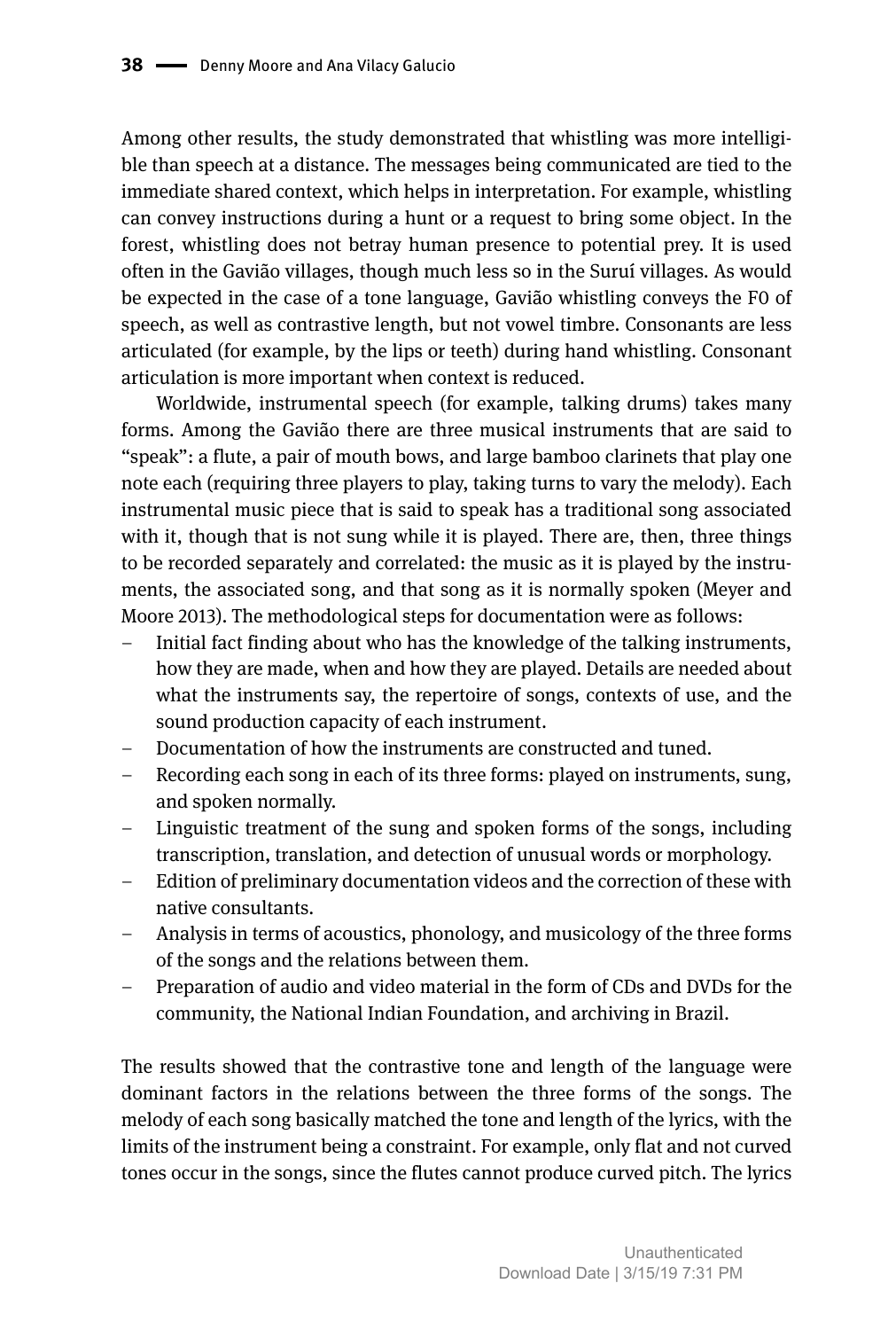Among other results, the study demonstrated that whistling was more intelligible than speech at a distance. The messages being communicated are tied to the immediate shared context, which helps in interpretation. For example, whistling can convey instructions during a hunt or a request to bring some object. In the forest, whistling does not betray human presence to potential prey. It is used often in the Gavião villages, though much less so in the Suruí villages. As would be expected in the case of a tone language, Gavião whistling conveys the F0 of speech, as well as contrastive length, but not vowel timbre. Consonants are less articulated (for example, by the lips or teeth) during hand whistling. Consonant articulation is more important when context is reduced.

Worldwide, instrumental speech (for example, talking drums) takes many forms. Among the Gavião there are three musical instruments that are said to "speak": a flute, a pair of mouth bows, and large bamboo clarinets that play one note each (requiring three players to play, taking turns to vary the melody). Each instrumental music piece that is said to speak has a traditional song associated with it, though that is not sung while it is played. There are, then, three things to be recorded separately and correlated: the music as it is played by the instruments, the associated song, and that song as it is normally spoken (Meyer and Moore 2013). The methodological steps for documentation were as follows:

- Initial fact finding about who has the knowledge of the talking instruments, how they are made, when and how they are played. Details are needed about what the instruments say, the repertoire of songs, contexts of use, and the sound production capacity of each instrument.
- Documentation of how the instruments are constructed and tuned.
- Recording each song in each of its three forms: played on instruments, sung, and spoken normally.
- Linguistic treatment of the sung and spoken forms of the songs, including transcription, translation, and detection of unusual words or morphology.
- Edition of preliminary documentation videos and the correction of these with native consultants.
- Analysis in terms of acoustics, phonology, and musicology of the three forms of the songs and the relations between them.
- Preparation of audio and video material in the form of CDs and DVDs for the community, the National Indian Foundation, and archiving in Brazil.

The results showed that the contrastive tone and length of the language were dominant factors in the relations between the three forms of the songs. The melody of each song basically matched the tone and length of the lyrics, with the limits of the instrument being a constraint. For example, only flat and not curved tones occur in the songs, since the flutes cannot produce curved pitch. The lyrics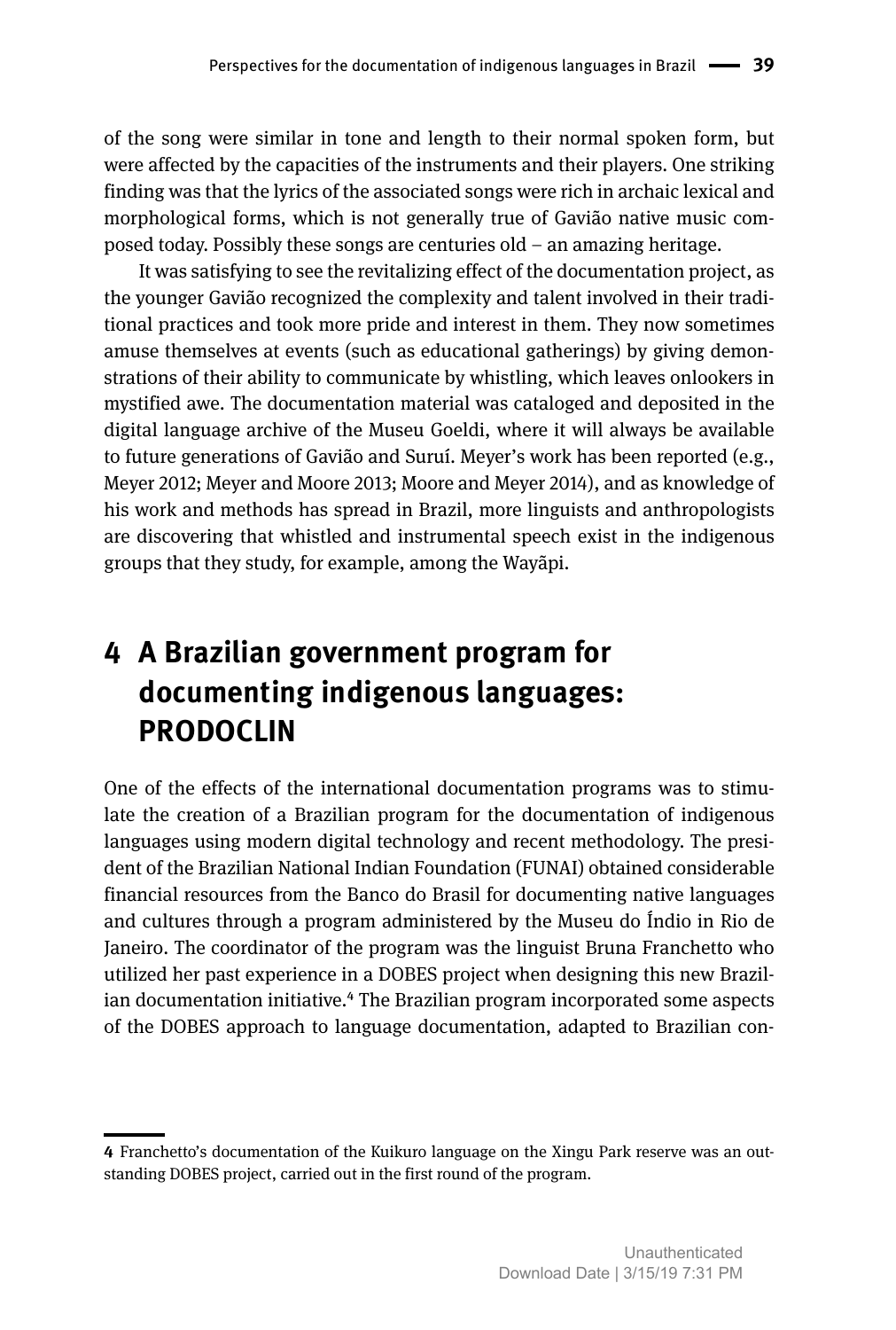of the song were similar in tone and length to their normal spoken form, but were affected by the capacities of the instruments and their players. One striking finding was that the lyrics of the associated songs were rich in archaic lexical and morphological forms, which is not generally true of Gavião native music composed today. Possibly these songs are centuries old – an amazing heritage.

It was satisfying to see the revitalizing effect of the documentation project, as the younger Gavião recognized the complexity and talent involved in their traditional practices and took more pride and interest in them. They now sometimes amuse themselves at events (such as educational gatherings) by giving demonstrations of their ability to communicate by whistling, which leaves onlookers in mystified awe. The documentation material was cataloged and deposited in the digital language archive of the Museu Goeldi, where it will always be available to future generations of Gavião and Suruí. Meyer's work has been reported (e.g., Meyer 2012; Meyer and Moore 2013; Moore and Meyer 2014), and as knowledge of his work and methods has spread in Brazil, more linguists and anthropologists are discovering that whistled and instrumental speech exist in the indigenous groups that they study, for example, among the Wayãpi.

# **4 A Brazilian government program for documenting indigenous languages: PRODOCLIN**

One of the effects of the international documentation programs was to stimulate the creation of a Brazilian program for the documentation of indigenous languages using modern digital technology and recent methodology. The president of the Brazilian National Indian Foundation (FUNAI) obtained considerable financial resources from the Banco do Brasil for documenting native languages and cultures through a program administered by the Museu do Índio in Rio de Janeiro. The coordinator of the program was the linguist Bruna Franchetto who utilized her past experience in a DOBES project when designing this new Brazilian documentation initiative.<sup>4</sup> The Brazilian program incorporated some aspects of the DOBES approach to language documentation, adapted to Brazilian con-

**<sup>4</sup>** Franchetto's documentation of the Kuikuro language on the Xingu Park reserve was an outstanding DOBES project, carried out in the first round of the program.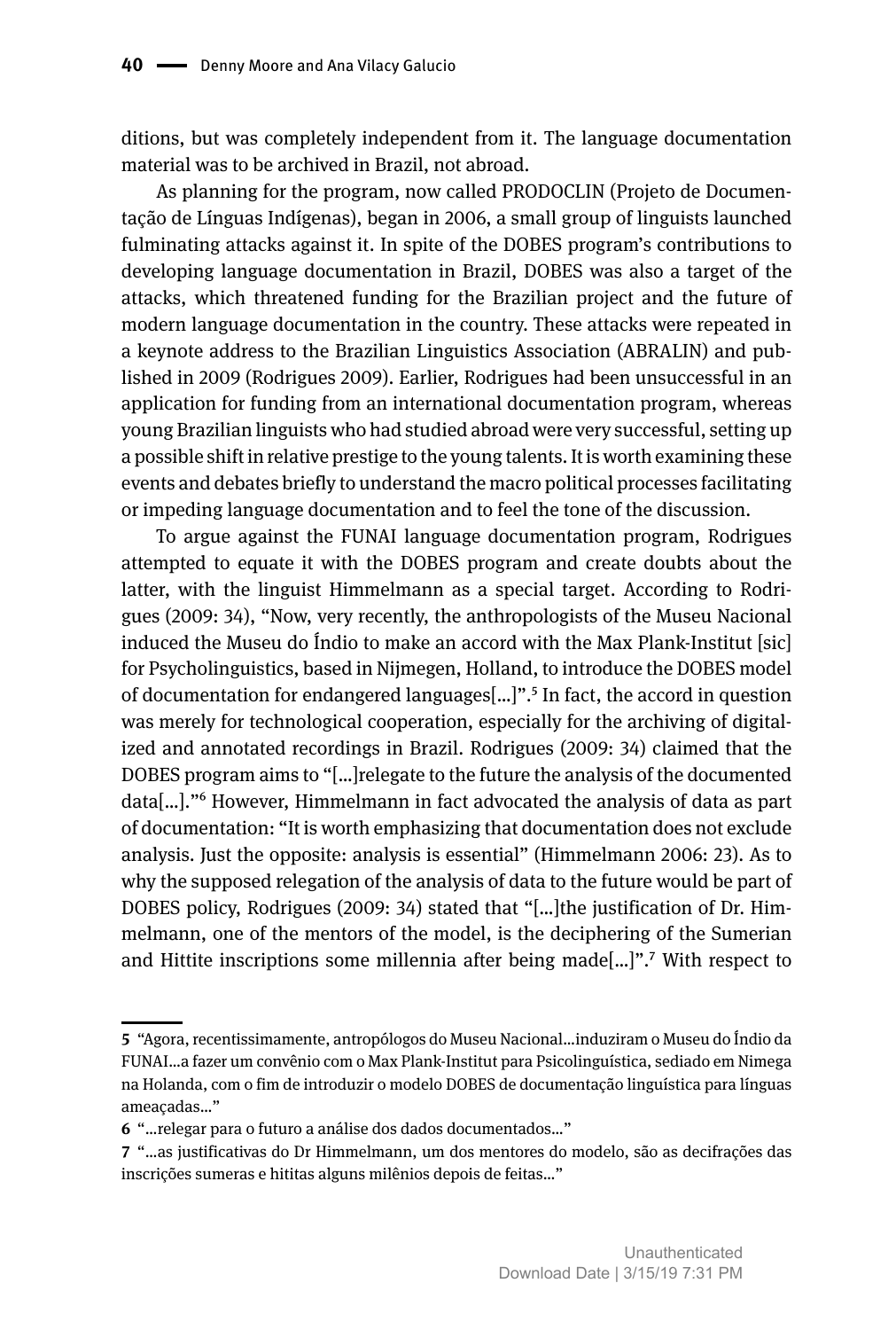ditions, but was completely independent from it. The language documentation material was to be archived in Brazil, not abroad.

As planning for the program, now called PRODOCLIN (Projeto de Documentação de Línguas Indígenas), began in 2006, a small group of linguists launched fulminating attacks against it. In spite of the DOBES program's contributions to developing language documentation in Brazil, DOBES was also a target of the attacks, which threatened funding for the Brazilian project and the future of modern language documentation in the country. These attacks were repeated in a keynote address to the Brazilian Linguistics Association (ABRALIN) and published in 2009 (Rodrigues 2009). Earlier, Rodrigues had been unsuccessful in an application for funding from an international documentation program, whereas young Brazilian linguists who had studied abroad were very successful, setting up a possible shift in relative prestige to the young talents. It is worth examining these events and debates briefly to understand the macro political processes facilitating or impeding language documentation and to feel the tone of the discussion.

To argue against the FUNAI language documentation program, Rodrigues attempted to equate it with the DOBES program and create doubts about the latter, with the linguist Himmelmann as a special target. According to Rodrigues (2009: 34), "Now, very recently, the anthropologists of the Museu Nacional induced the Museu do Índio to make an accord with the Max Plank-Institut [sic] for Psycholinguistics, based in Nijmegen, Holland, to introduce the DOBES model of documentation for endangered languages[…]".5 In fact, the accord in question was merely for technological cooperation, especially for the archiving of digitalized and annotated recordings in Brazil. Rodrigues (2009: 34) claimed that the DOBES program aims to "[…]relegate to the future the analysis of the documented data[…]."6 However, Himmelmann in fact advocated the analysis of data as part of documentation: "It is worth emphasizing that documentation does not exclude analysis. Just the opposite: analysis is essential" (Himmelmann 2006: 23). As to why the supposed relegation of the analysis of data to the future would be part of DOBES policy, Rodrigues (2009: 34) stated that "[…]the justification of Dr. Himmelmann, one of the mentors of the model, is the deciphering of the Sumerian and Hittite inscriptions some millennia after being made[…]".7 With respect to

**6** "…relegar para o futuro a análise dos dados documentados…"

**<sup>5</sup>** "Agora, recentissimamente, antropólogos do Museu Nacional…induziram o Museu do Índio da FUNAI…a fazer um convênio com o Max Plank-Institut para Psicolinguística, sediado em Nimega na Holanda, com o fim de introduzir o modelo DOBES de documentação linguística para línguas ameaçadas…"

**<sup>7</sup>** "…as justificativas do Dr Himmelmann, um dos mentores do modelo, são as decifrações das inscrições sumeras e hititas alguns milênios depois de feitas…"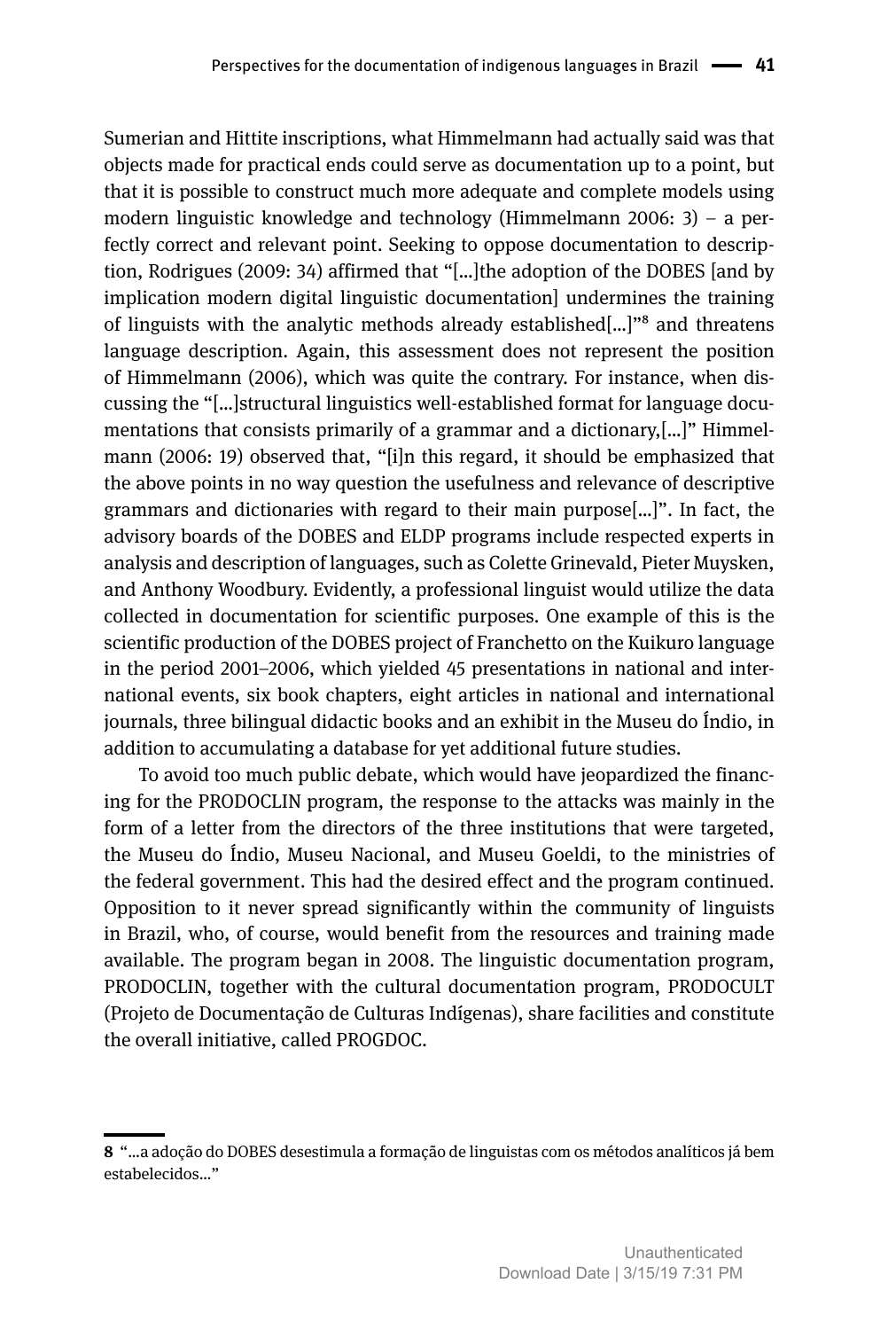Sumerian and Hittite inscriptions, what Himmelmann had actually said was that objects made for practical ends could serve as documentation up to a point, but that it is possible to construct much more adequate and complete models using modern linguistic knowledge and technology (Himmelmann 2006: 3) – a perfectly correct and relevant point. Seeking to oppose documentation to description, Rodrigues (2009: 34) affirmed that "[…]the adoption of the DOBES [and by implication modern digital linguistic documentation] undermines the training of linguists with the analytic methods already established[…]"8 and threatens language description. Again, this assessment does not represent the position of Himmelmann (2006), which was quite the contrary. For instance, when discussing the "[…]structural linguistics well-established format for language documentations that consists primarily of a grammar and a dictionary,[…]" Himmelmann (2006: 19) observed that, "[i]n this regard, it should be emphasized that the above points in no way question the usefulness and relevance of descriptive grammars and dictionaries with regard to their main purpose[…]". In fact, the advisory boards of the DOBES and ELDP programs include respected experts in analysis and description of languages, such as Colette Grinevald, Pieter Muysken, and Anthony Woodbury. Evidently, a professional linguist would utilize the data collected in documentation for scientific purposes. One example of this is the scientific production of the DOBES project of Franchetto on the Kuikuro language in the period 2001–2006, which yielded 45 presentations in national and international events, six book chapters, eight articles in national and international journals, three bilingual didactic books and an exhibit in the Museu do Índio, in addition to accumulating a database for yet additional future studies.

To avoid too much public debate, which would have jeopardized the financing for the PRODOCLIN program, the response to the attacks was mainly in the form of a letter from the directors of the three institutions that were targeted, the Museu do Índio, Museu Nacional, and Museu Goeldi, to the ministries of the federal government. This had the desired effect and the program continued. Opposition to it never spread significantly within the community of linguists in Brazil, who, of course, would benefit from the resources and training made available. The program began in 2008. The linguistic documentation program, PRODOCLIN, together with the cultural documentation program, PRODOCULT (Projeto de Documentação de Culturas Indígenas), share facilities and constitute the overall initiative, called PROGDOC.

**<sup>8</sup>** "…a adoção do DOBES desestimula a formação de linguistas com os métodos analíticos já bem estabelecidos…"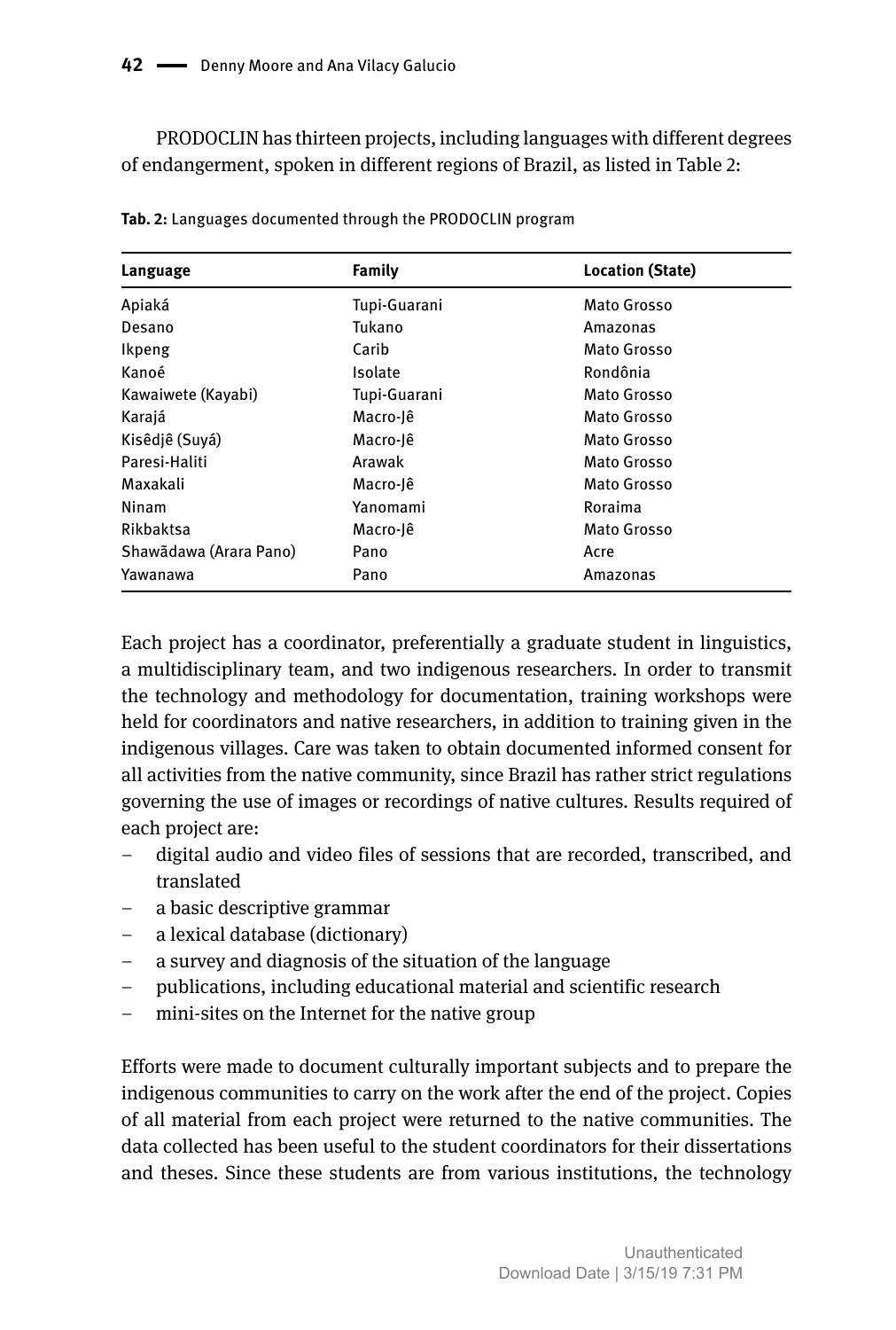PRODOCLIN has thirteen projects, including languages with different degrees of endangerment, spoken in different regions of Brazil, as listed in Table 2:

| Language               | Family       | <b>Location (State)</b> |
|------------------------|--------------|-------------------------|
| Apiaká                 | Tupi-Guarani | Mato Grosso             |
| Desano                 | Tukano       | Amazonas                |
| Ikpeng                 | Carib        | Mato Grosso             |
| Kanoé                  | Isolate      | Rondônia                |
| Kawaiwete (Kayabi)     | Tupi-Guarani | Mato Grosso             |
| Karajá                 | Macro-Jê     | Mato Grosso             |
| Kisêdjê (Suyá)         | Macro-Jê     | Mato Grosso             |
| Paresi-Haliti          | Arawak       | Mato Grosso             |
| Maxakali               | Macro-Jê     | Mato Grosso             |
| Ninam                  | Yanomami     | Roraima                 |
| Rikbaktsa              | Macro-Jê     | Mato Grosso             |
| Shawãdawa (Arara Pano) | Pano         | Acre                    |
| Yawanawa               | Pano         | Amazonas                |

**Tab. 2:** Languages documented through the PRODOCLIN program

Each project has a coordinator, preferentially a graduate student in linguistics, a multidisciplinary team, and two indigenous researchers. In order to transmit the technology and methodology for documentation, training workshops were held for coordinators and native researchers, in addition to training given in the indigenous villages. Care was taken to obtain documented informed consent for all activities from the native community, since Brazil has rather strict regulations governing the use of images or recordings of native cultures. Results required of each project are:

- digital audio and video files of sessions that are recorded, transcribed, and translated
- a basic descriptive grammar
- a lexical database (dictionary)
- a survey and diagnosis of the situation of the language
- publications, including educational material and scientific research
- mini-sites on the Internet for the native group

Efforts were made to document culturally important subjects and to prepare the indigenous communities to carry on the work after the end of the project. Copies of all material from each project were returned to the native communities. The data collected has been useful to the student coordinators for their dissertations and theses. Since these students are from various institutions, the technology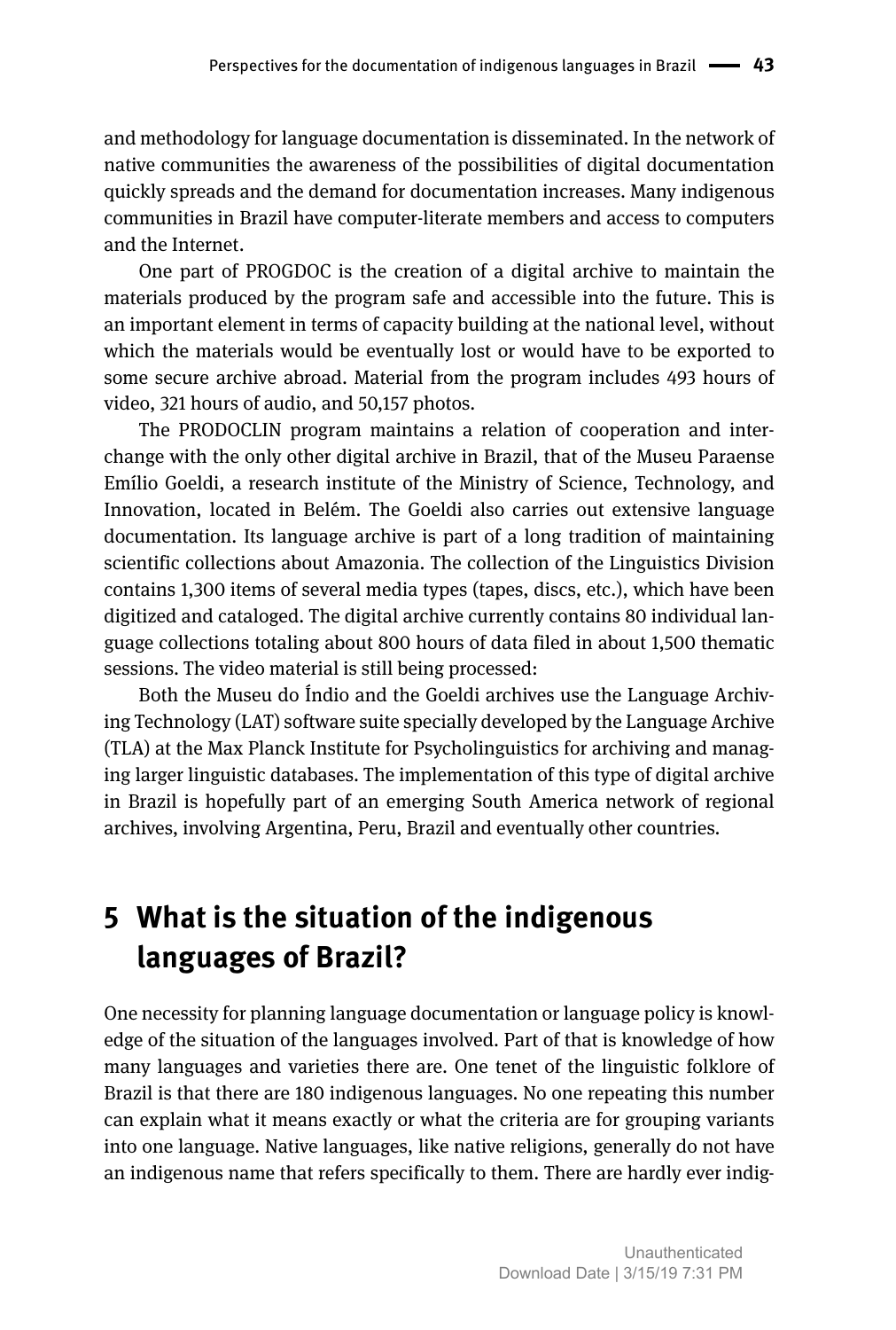and methodology for language documentation is disseminated. In the network of native communities the awareness of the possibilities of digital documentation quickly spreads and the demand for documentation increases. Many indigenous communities in Brazil have computer-literate members and access to computers and the Internet.

One part of PROGDOC is the creation of a digital archive to maintain the materials produced by the program safe and accessible into the future. This is an important element in terms of capacity building at the national level, without which the materials would be eventually lost or would have to be exported to some secure archive abroad. Material from the program includes 493 hours of video, 321 hours of audio, and 50,157 photos.

The PRODOCLIN program maintains a relation of cooperation and interchange with the only other digital archive in Brazil, that of the Museu Paraense Emílio Goeldi, a research institute of the Ministry of Science, Technology, and Innovation, located in Belém. The Goeldi also carries out extensive language documentation. Its language archive is part of a long tradition of maintaining scientific collections about Amazonia. The collection of the Linguistics Division contains 1,300 items of several media types (tapes, discs, etc.), which have been digitized and cataloged. The digital archive currently contains 80 individual language collections totaling about 800 hours of data filed in about 1,500 thematic sessions. The video material is still being processed:

Both the Museu do Índio and the Goeldi archives use the Language Archiving Technology (LAT) software suite specially developed by the Language Archive (TLA) at the Max Planck Institute for Psycholinguistics for archiving and managing larger linguistic databases. The implementation of this type of digital archive in Brazil is hopefully part of an emerging South America network of regional archives, involving Argentina, Peru, Brazil and eventually other countries.

## **5 What is the situation of the indigenous languages of Brazil?**

One necessity for planning language documentation or language policy is knowledge of the situation of the languages involved. Part of that is knowledge of how many languages and varieties there are. One tenet of the linguistic folklore of Brazil is that there are 180 indigenous languages. No one repeating this number can explain what it means exactly or what the criteria are for grouping variants into one language. Native languages, like native religions, generally do not have an indigenous name that refers specifically to them. There are hardly ever indig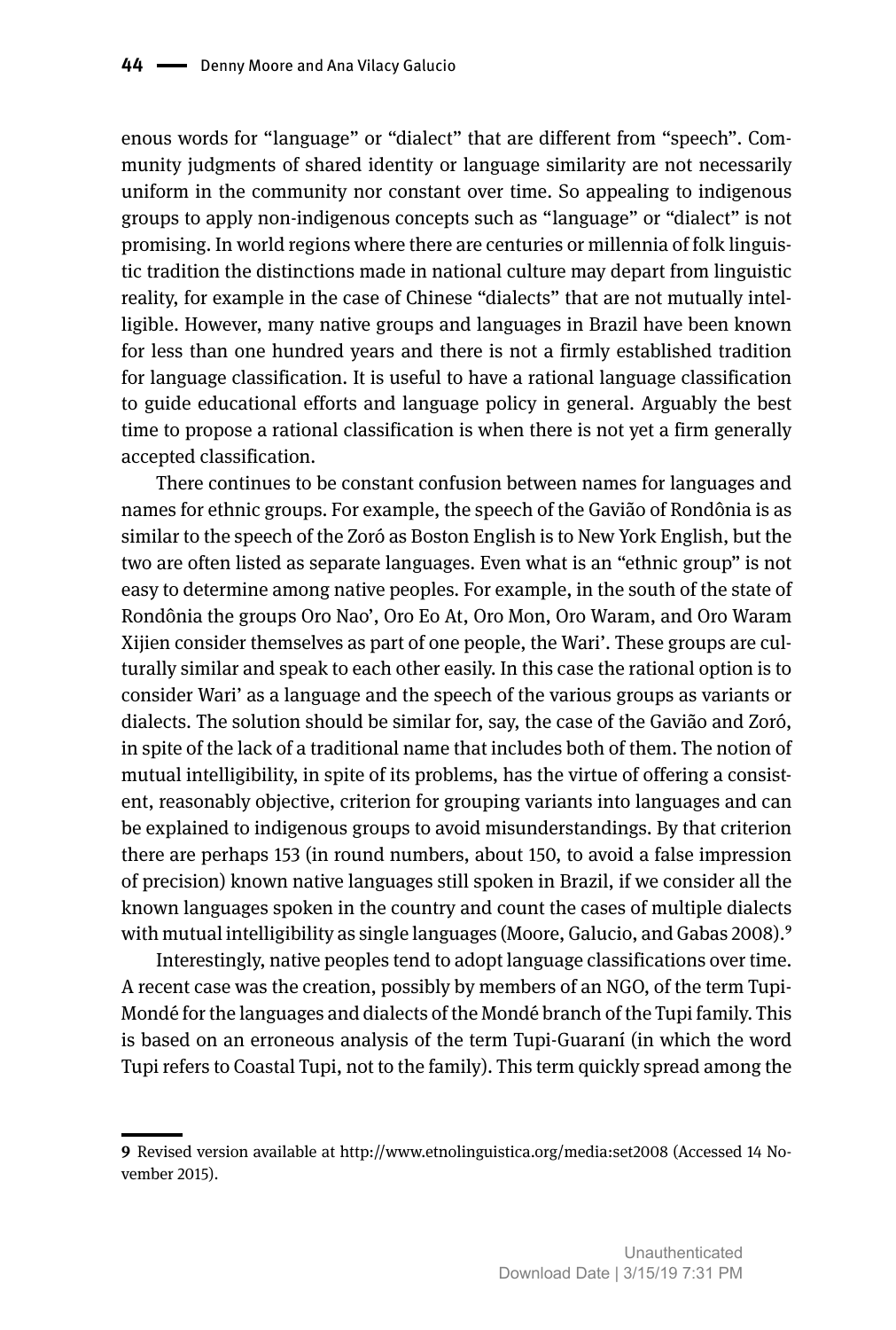enous words for "language" or "dialect" that are different from "speech". Community judgments of shared identity or language similarity are not necessarily uniform in the community nor constant over time. So appealing to indigenous groups to apply non-indigenous concepts such as "language" or "dialect" is not promising. In world regions where there are centuries or millennia of folk linguistic tradition the distinctions made in national culture may depart from linguistic reality, for example in the case of Chinese "dialects" that are not mutually intelligible. However, many native groups and languages in Brazil have been known for less than one hundred years and there is not a firmly established tradition for language classification. It is useful to have a rational language classification to guide educational efforts and language policy in general. Arguably the best time to propose a rational classification is when there is not yet a firm generally accepted classification.

There continues to be constant confusion between names for languages and names for ethnic groups. For example, the speech of the Gavião of Rondônia is as similar to the speech of the Zoró as Boston English is to New York English, but the two are often listed as separate languages. Even what is an "ethnic group" is not easy to determine among native peoples. For example, in the south of the state of Rondônia the groups Oro Nao', Oro Eo At, Oro Mon, Oro Waram, and Oro Waram Xijien consider themselves as part of one people, the Wari'. These groups are culturally similar and speak to each other easily. In this case the rational option is to consider Wari' as a language and the speech of the various groups as variants or dialects. The solution should be similar for, say, the case of the Gavião and Zoró, in spite of the lack of a traditional name that includes both of them. The notion of mutual intelligibility, in spite of its problems, has the virtue of offering a consistent, reasonably objective, criterion for grouping variants into languages and can be explained to indigenous groups to avoid misunderstandings. By that criterion there are perhaps 153 (in round numbers, about 150, to avoid a false impression of precision) known native languages still spoken in Brazil, if we consider all the known languages spoken in the country and count the cases of multiple dialects with mutual intelligibility as single languages (Moore, Galucio, and Gabas 2008).<sup>9</sup>

Interestingly, native peoples tend to adopt language classifications over time. A recent case was the creation, possibly by members of an NGO, of the term Tupi-Mondé for the languages and dialects of the Mondé branch of the Tupi family. This is based on an erroneous analysis of the term Tupi-Guaraní (in which the word Tupi refers to Coastal Tupi, not to the family). This term quickly spread among the

**<sup>9</sup>** Revised version available at http://www.etnolinguistica.org/media:set2008 (Accessed 14 November 2015).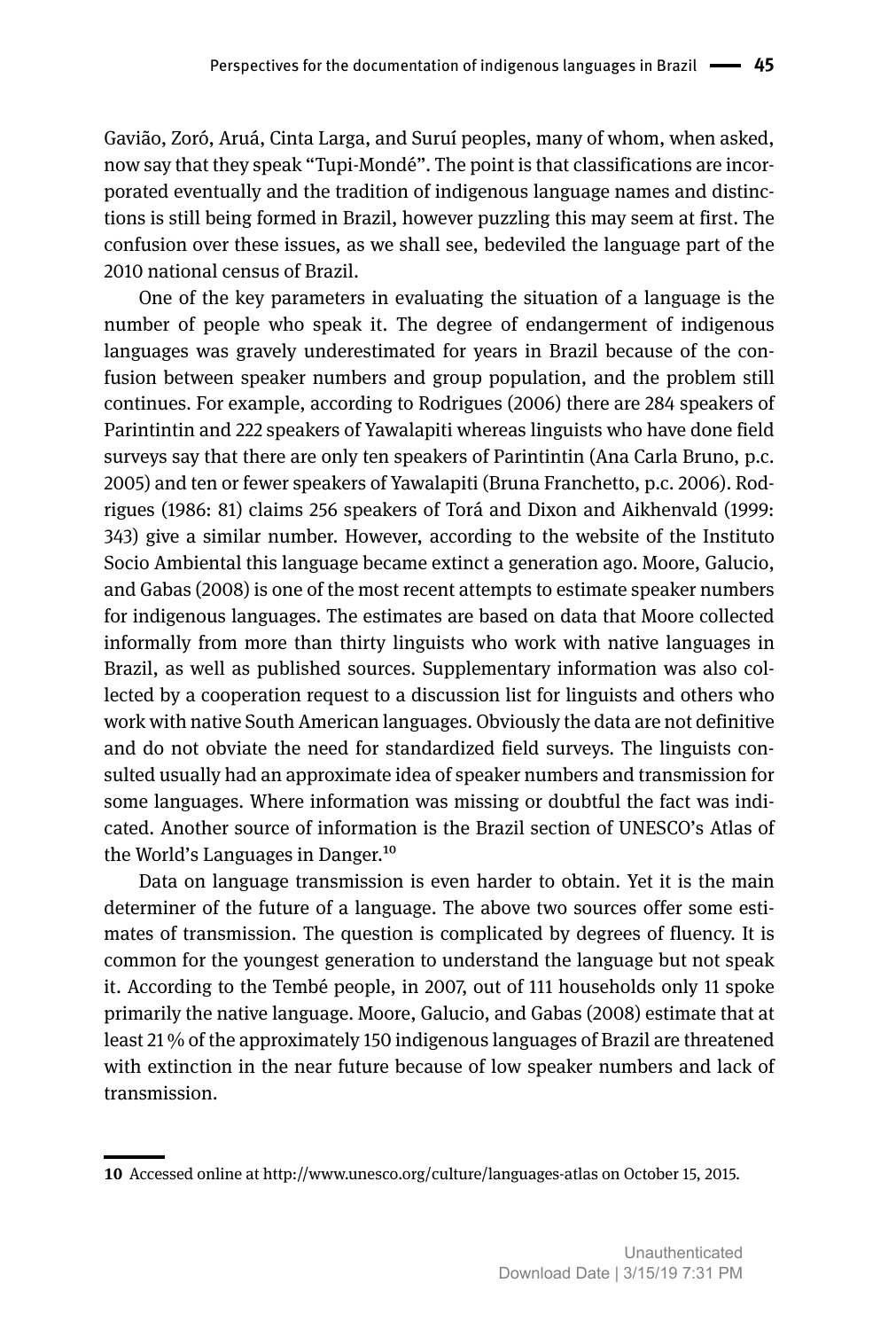Gavião, Zoró, Aruá, Cinta Larga, and Suruí peoples, many of whom, when asked, now say that they speak "Tupi-Mondé". The point is that classifications are incorporated eventually and the tradition of indigenous language names and distinctions is still being formed in Brazil, however puzzling this may seem at first. The confusion over these issues, as we shall see, bedeviled the language part of the 2010 national census of Brazil.

One of the key parameters in evaluating the situation of a language is the number of people who speak it. The degree of endangerment of indigenous languages was gravely underestimated for years in Brazil because of the confusion between speaker numbers and group population, and the problem still continues. For example, according to Rodrigues (2006) there are 284 speakers of Parintintin and 222 speakers of Yawalapiti whereas linguists who have done field surveys say that there are only ten speakers of Parintintin (Ana Carla Bruno, p.c. 2005) and ten or fewer speakers of Yawalapiti (Bruna Franchetto, p.c. 2006). Rodrigues (1986: 81) claims 256 speakers of Torá and Dixon and Aikhenvald (1999: 343) give a similar number. However, according to the website of the Instituto Socio Ambiental this language became extinct a generation ago. Moore, Galucio, and Gabas (2008) is one of the most recent attempts to estimate speaker numbers for indigenous languages. The estimates are based on data that Moore collected informally from more than thirty linguists who work with native languages in Brazil, as well as published sources. Supplementary information was also collected by a cooperation request to a discussion list for linguists and others who work with native South American languages. Obviously the data are not definitive and do not obviate the need for standardized field surveys. The linguists consulted usually had an approximate idea of speaker numbers and transmission for some languages. Where information was missing or doubtful the fact was indicated. Another source of information is the Brazil section of UNESCO's Atlas of the World's Languages in Danger.10

Data on language transmission is even harder to obtain. Yet it is the main determiner of the future of a language. The above two sources offer some estimates of transmission. The question is complicated by degrees of fluency. It is common for the youngest generation to understand the language but not speak it. According to the Tembé people, in 2007, out of 111 households only 11 spoke primarily the native language. Moore, Galucio, and Gabas (2008) estimate that at least 21 % of the approximately 150 indigenous languages of Brazil are threatened with extinction in the near future because of low speaker numbers and lack of transmission.

**<sup>10</sup>** Accessed online at http://www.unesco.org/culture/languages-atlas on October 15, 2015.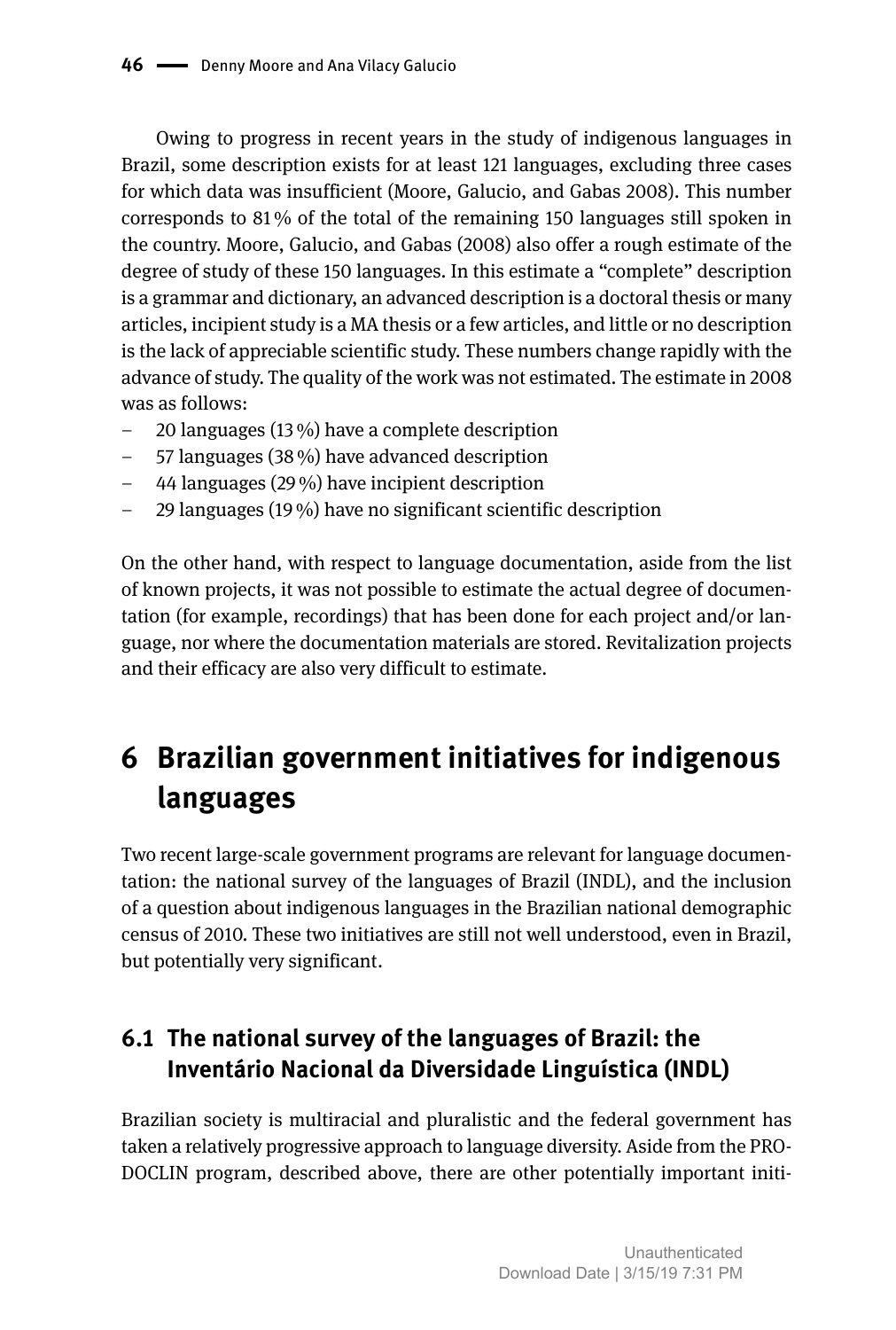Owing to progress in recent years in the study of indigenous languages in Brazil, some description exists for at least 121 languages, excluding three cases for which data was insufficient (Moore, Galucio, and Gabas 2008). This number corresponds to 81 % of the total of the remaining 150 languages still spoken in the country. Moore, Galucio, and Gabas (2008) also offer a rough estimate of the degree of study of these 150 languages. In this estimate a "complete" description is a grammar and dictionary, an advanced description is a doctoral thesis or many articles, incipient study is a MA thesis or a few articles, and little or no description is the lack of appreciable scientific study. These numbers change rapidly with the advance of study. The quality of the work was not estimated. The estimate in 2008 was as follows:

- 20 languages (13 %) have a complete description
- 57 languages (38 %) have advanced description
- 44 languages (29 %) have incipient description
- 29 languages (19 %) have no significant scientific description

On the other hand, with respect to language documentation, aside from the list of known projects, it was not possible to estimate the actual degree of documentation (for example, recordings) that has been done for each project and/or language, nor where the documentation materials are stored. Revitalization projects and their efficacy are also very difficult to estimate.

# **6 Brazilian government initiatives for indigenous languages**

Two recent large-scale government programs are relevant for language documentation: the national survey of the languages of Brazil (INDL), and the inclusion of a question about indigenous languages in the Brazilian national demographic census of 2010. These two initiatives are still not well understood, even in Brazil, but potentially very significant.

### **6.1 The national survey of the languages of Brazil: the Inventário Nacional da Diversidade Linguística (INDL)**

Brazilian society is multiracial and pluralistic and the federal government has taken a relatively progressive approach to language diversity. Aside from the PRO-DOCLIN program, described above, there are other potentially important initi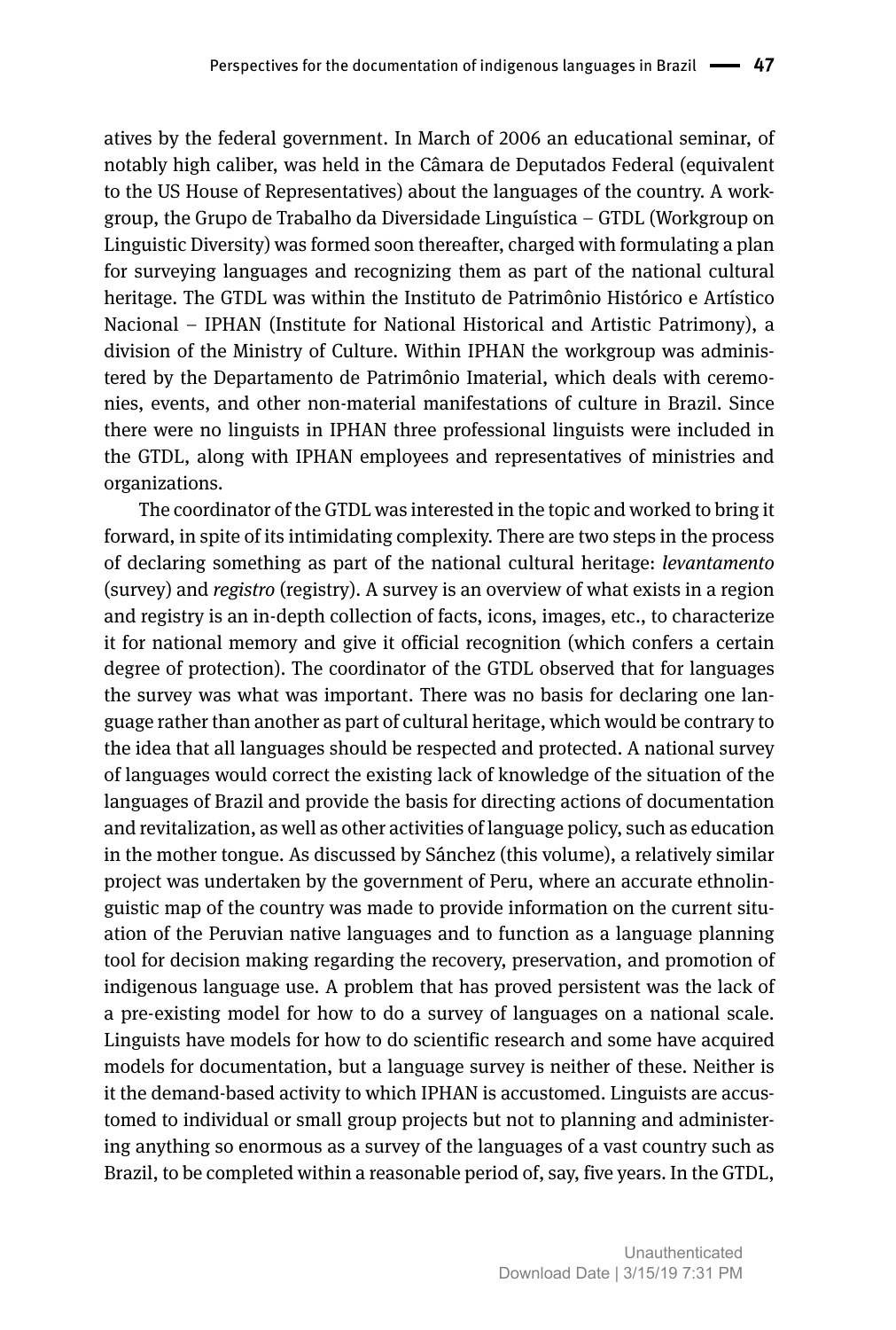atives by the federal government. In March of 2006 an educational seminar, of notably high caliber, was held in the Câmara de Deputados Federal (equivalent to the US House of Representatives) about the languages of the country. A workgroup, the Grupo de Trabalho da Diversidade Linguística – GTDL (Workgroup on Linguistic Diversity) was formed soon thereafter, charged with formulating a plan for surveying languages and recognizing them as part of the national cultural heritage. The GTDL was within the Instituto de Patrimônio Histórico e Artístico Nacional – IPHAN (Institute for National Historical and Artistic Patrimony), a division of the Ministry of Culture. Within IPHAN the workgroup was administered by the Departamento de Patrimônio Imaterial, which deals with ceremonies, events, and other non-material manifestations of culture in Brazil. Since there were no linguists in IPHAN three professional linguists were included in the GTDL, along with IPHAN employees and representatives of ministries and organizations.

The coordinator of the GTDL was interested in the topic and worked to bring it forward, in spite of its intimidating complexity. There are two steps in the process of declaring something as part of the national cultural heritage: *levantamento* (survey) and *registro* (registry). A survey is an overview of what exists in a region and registry is an in-depth collection of facts, icons, images, etc., to characterize it for national memory and give it official recognition (which confers a certain degree of protection). The coordinator of the GTDL observed that for languages the survey was what was important. There was no basis for declaring one language rather than another as part of cultural heritage, which would be contrary to the idea that all languages should be respected and protected. A national survey of languages would correct the existing lack of knowledge of the situation of the languages of Brazil and provide the basis for directing actions of documentation and revitalization, as well as other activities of language policy, such as education in the mother tongue. As discussed by Sánchez (this volume), a relatively similar project was undertaken by the government of Peru, where an accurate ethnolinguistic map of the country was made to provide information on the current situation of the Peruvian native languages and to function as a language planning tool for decision making regarding the recovery, preservation, and promotion of indigenous language use. A problem that has proved persistent was the lack of a pre-existing model for how to do a survey of languages on a national scale. Linguists have models for how to do scientific research and some have acquired models for documentation, but a language survey is neither of these. Neither is it the demand-based activity to which IPHAN is accustomed. Linguists are accustomed to individual or small group projects but not to planning and administering anything so enormous as a survey of the languages of a vast country such as Brazil, to be completed within a reasonable period of, say, five years. In the GTDL,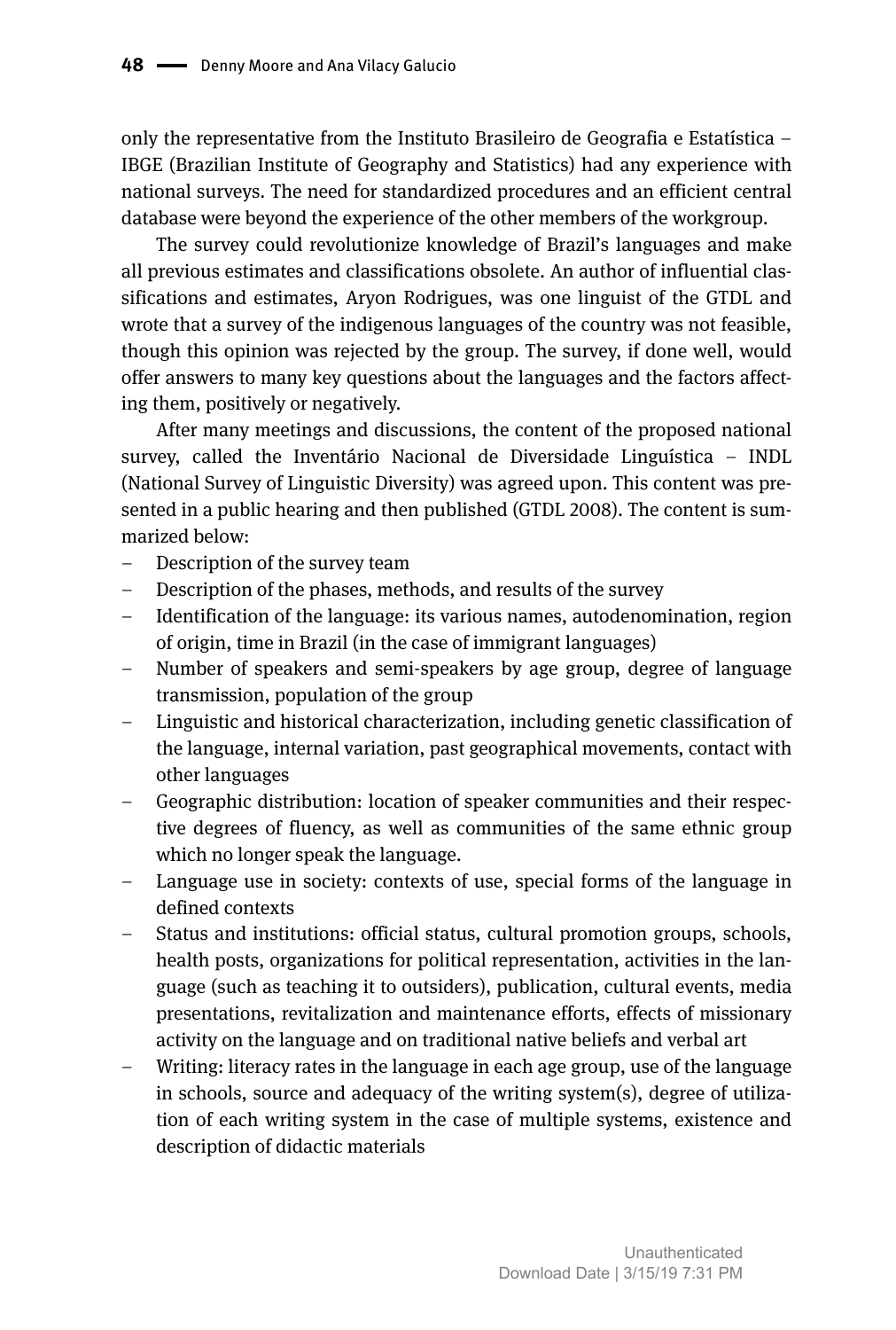only the representative from the Instituto Brasileiro de Geografia e Estatística – IBGE (Brazilian Institute of Geography and Statistics) had any experience with national surveys. The need for standardized procedures and an efficient central database were beyond the experience of the other members of the workgroup.

The survey could revolutionize knowledge of Brazil's languages and make all previous estimates and classifications obsolete. An author of influential classifications and estimates, Aryon Rodrigues, was one linguist of the GTDL and wrote that a survey of the indigenous languages of the country was not feasible, though this opinion was rejected by the group. The survey, if done well, would offer answers to many key questions about the languages and the factors affecting them, positively or negatively.

After many meetings and discussions, the content of the proposed national survey, called the Inventário Nacional de Diversidade Linguística – INDL (National Survey of Linguistic Diversity) was agreed upon. This content was presented in a public hearing and then published (GTDL 2008). The content is summarized below:

- Description of the survey team
- Description of the phases, methods, and results of the survey
- Identification of the language: its various names, autodenomination, region of origin, time in Brazil (in the case of immigrant languages)
- Number of speakers and semi-speakers by age group, degree of language transmission, population of the group
- Linguistic and historical characterization, including genetic classification of the language, internal variation, past geographical movements, contact with other languages
- Geographic distribution: location of speaker communities and their respective degrees of fluency, as well as communities of the same ethnic group which no longer speak the language.
- Language use in society: contexts of use, special forms of the language in defined contexts
- Status and institutions: official status, cultural promotion groups, schools, health posts, organizations for political representation, activities in the language (such as teaching it to outsiders), publication, cultural events, media presentations, revitalization and maintenance efforts, effects of missionary activity on the language and on traditional native beliefs and verbal art
- Writing: literacy rates in the language in each age group, use of the language in schools, source and adequacy of the writing system(s), degree of utilization of each writing system in the case of multiple systems, existence and description of didactic materials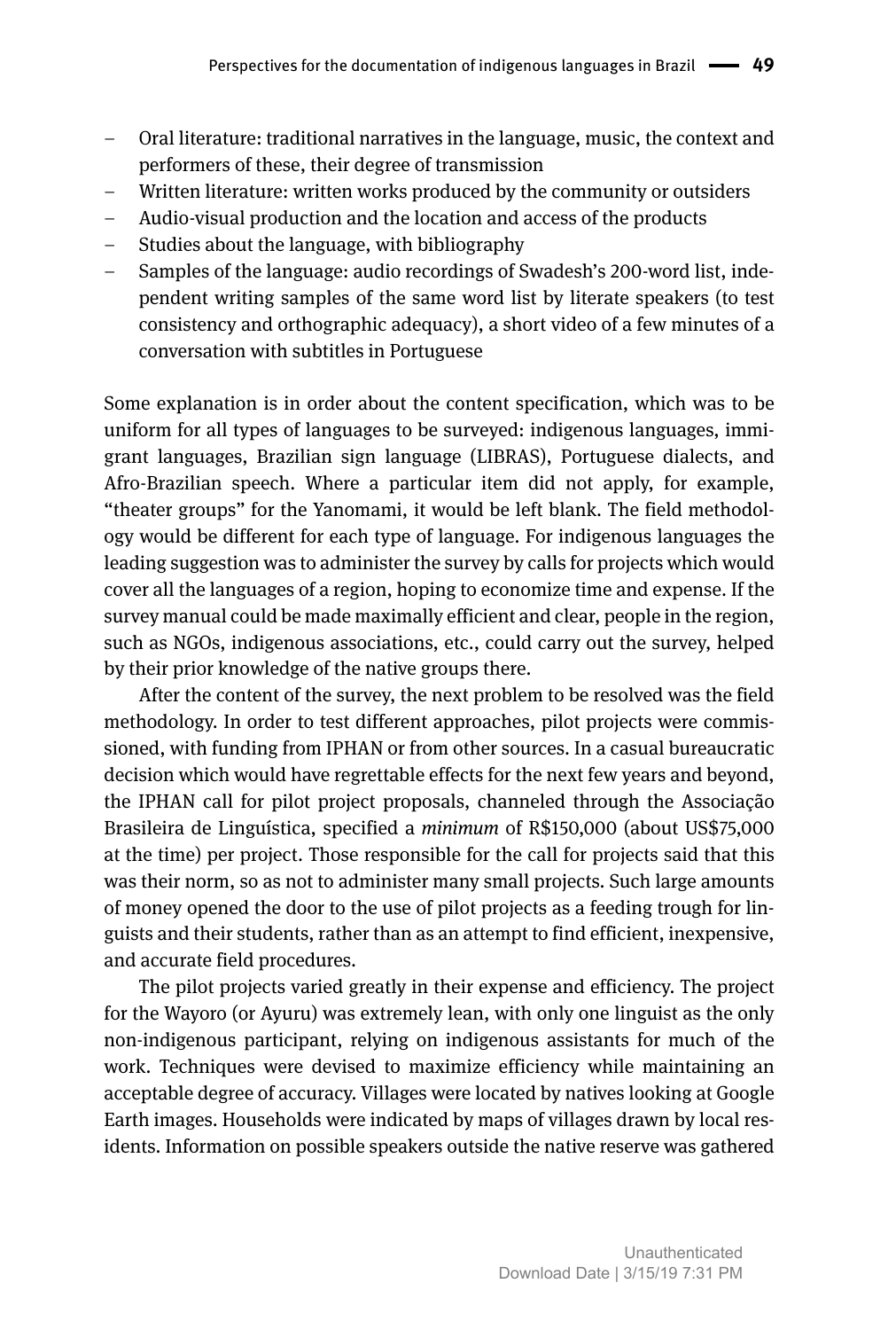- Oral literature: traditional narratives in the language, music, the context and performers of these, their degree of transmission
- Written literature: written works produced by the community or outsiders
- Audio-visual production and the location and access of the products
- Studies about the language, with bibliography
- Samples of the language: audio recordings of Swadesh's 200-word list, independent writing samples of the same word list by literate speakers (to test consistency and orthographic adequacy), a short video of a few minutes of a conversation with subtitles in Portuguese

Some explanation is in order about the content specification, which was to be uniform for all types of languages to be surveyed: indigenous languages, immigrant languages, Brazilian sign language (LIBRAS), Portuguese dialects, and Afro-Brazilian speech. Where a particular item did not apply, for example, "theater groups" for the Yanomami, it would be left blank. The field methodology would be different for each type of language. For indigenous languages the leading suggestion was to administer the survey by calls for projects which would cover all the languages of a region, hoping to economize time and expense. If the survey manual could be made maximally efficient and clear, people in the region, such as NGOs, indigenous associations, etc., could carry out the survey, helped by their prior knowledge of the native groups there.

After the content of the survey, the next problem to be resolved was the field methodology. In order to test different approaches, pilot projects were commissioned, with funding from IPHAN or from other sources. In a casual bureaucratic decision which would have regrettable effects for the next few years and beyond, the IPHAN call for pilot project proposals, channeled through the Associação Brasileira de Linguística, specified a *minimum* of R\$150,000 (about US\$75,000 at the time) per project. Those responsible for the call for projects said that this was their norm, so as not to administer many small projects. Such large amounts of money opened the door to the use of pilot projects as a feeding trough for linguists and their students, rather than as an attempt to find efficient, inexpensive, and accurate field procedures.

The pilot projects varied greatly in their expense and efficiency. The project for the Wayoro (or Ayuru) was extremely lean, with only one linguist as the only non-indigenous participant, relying on indigenous assistants for much of the work. Techniques were devised to maximize efficiency while maintaining an acceptable degree of accuracy. Villages were located by natives looking at Google Earth images. Households were indicated by maps of villages drawn by local residents. Information on possible speakers outside the native reserve was gathered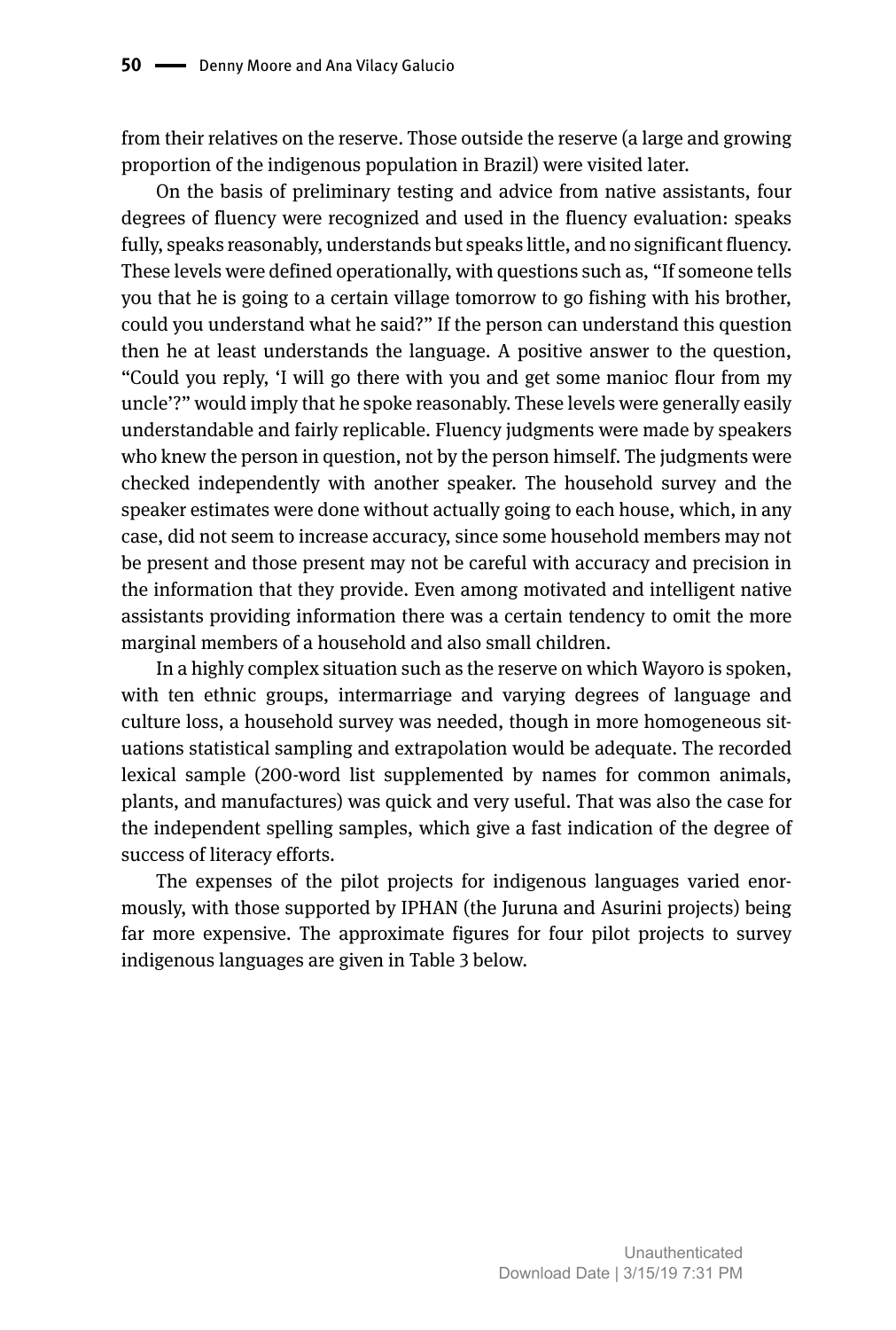from their relatives on the reserve. Those outside the reserve (a large and growing proportion of the indigenous population in Brazil) were visited later.

On the basis of preliminary testing and advice from native assistants, four degrees of fluency were recognized and used in the fluency evaluation: speaks fully, speaks reasonably, understands but speaks little, and no significant fluency. These levels were defined operationally, with questions such as, "If someone tells you that he is going to a certain village tomorrow to go fishing with his brother, could you understand what he said?" If the person can understand this question then he at least understands the language. A positive answer to the question, "Could you reply, 'I will go there with you and get some manioc flour from my uncle'?" would imply that he spoke reasonably. These levels were generally easily understandable and fairly replicable. Fluency judgments were made by speakers who knew the person in question, not by the person himself. The judgments were checked independently with another speaker. The household survey and the speaker estimates were done without actually going to each house, which, in any case, did not seem to increase accuracy, since some household members may not be present and those present may not be careful with accuracy and precision in the information that they provide. Even among motivated and intelligent native assistants providing information there was a certain tendency to omit the more marginal members of a household and also small children.

In a highly complex situation such as the reserve on which Wayoro is spoken, with ten ethnic groups, intermarriage and varying degrees of language and culture loss, a household survey was needed, though in more homogeneous situations statistical sampling and extrapolation would be adequate. The recorded lexical sample (200-word list supplemented by names for common animals, plants, and manufactures) was quick and very useful. That was also the case for the independent spelling samples, which give a fast indication of the degree of success of literacy efforts.

The expenses of the pilot projects for indigenous languages varied enormously, with those supported by IPHAN (the Juruna and Asurini projects) being far more expensive. The approximate figures for four pilot projects to survey indigenous languages are given in Table 3 below.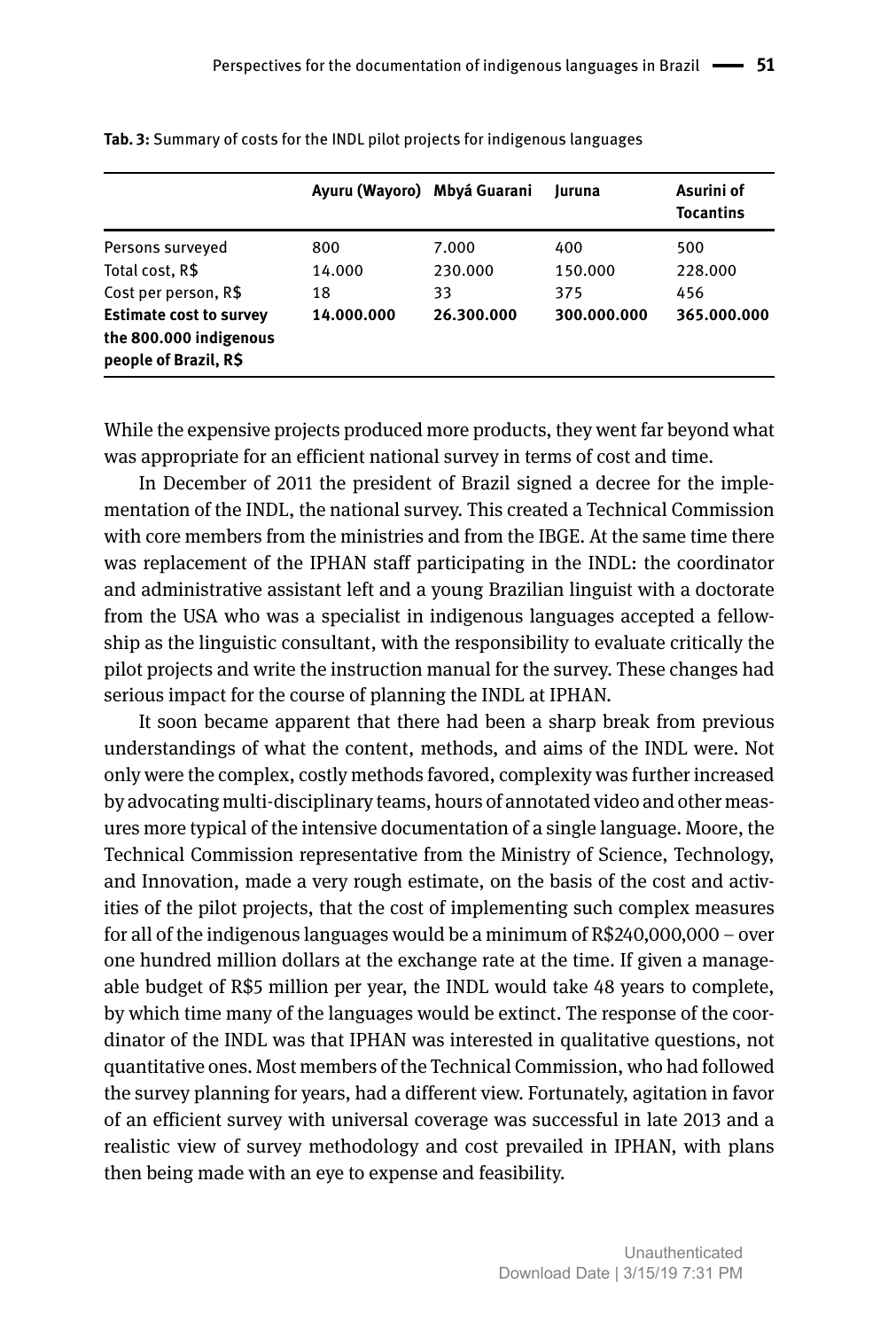|                                                 | Ayuru (Wayoro) Mbyá Guarani |            | luruna      | Asurini of<br><b>Tocantins</b> |
|-------------------------------------------------|-----------------------------|------------|-------------|--------------------------------|
| Persons surveyed                                | 800                         | 7.000      | 400         | 500                            |
| Total cost, R\$                                 | 14.000                      | 230.000    | 150.000     | 228.000                        |
| Cost per person, R\$                            | 18                          | 33         | 375         | 456                            |
| <b>Estimate cost to survey</b>                  | 14.000.000                  | 26.300.000 | 300.000.000 | 365.000.000                    |
| the 800.000 indigenous<br>people of Brazil, R\$ |                             |            |             |                                |

#### **Tab. 3:** Summary of costs for the INDL pilot projects for indigenous languages

While the expensive projects produced more products, they went far beyond what was appropriate for an efficient national survey in terms of cost and time.

In December of 2011 the president of Brazil signed a decree for the implementation of the INDL, the national survey. This created a Technical Commission with core members from the ministries and from the IBGE. At the same time there was replacement of the IPHAN staff participating in the INDL: the coordinator and administrative assistant left and a young Brazilian linguist with a doctorate from the USA who was a specialist in indigenous languages accepted a fellowship as the linguistic consultant, with the responsibility to evaluate critically the pilot projects and write the instruction manual for the survey. These changes had serious impact for the course of planning the INDL at IPHAN.

It soon became apparent that there had been a sharp break from previous understandings of what the content, methods, and aims of the INDL were. Not only were the complex, costly methods favored, complexity was further increased by advocating multi-disciplinary teams, hours of annotated video and other measures more typical of the intensive documentation of a single language. Moore, the Technical Commission representative from the Ministry of Science, Technology, and Innovation, made a very rough estimate, on the basis of the cost and activities of the pilot projects, that the cost of implementing such complex measures for all of the indigenous languages would be a minimum of R\$240,000,000 – over one hundred million dollars at the exchange rate at the time. If given a manageable budget of R\$5 million per year, the INDL would take 48 years to complete, by which time many of the languages would be extinct. The response of the coordinator of the INDL was that IPHAN was interested in qualitative questions, not quantitative ones. Most members of the Technical Commission, who had followed the survey planning for years, had a different view. Fortunately, agitation in favor of an efficient survey with universal coverage was successful in late 2013 and a realistic view of survey methodology and cost prevailed in IPHAN, with plans then being made with an eye to expense and feasibility.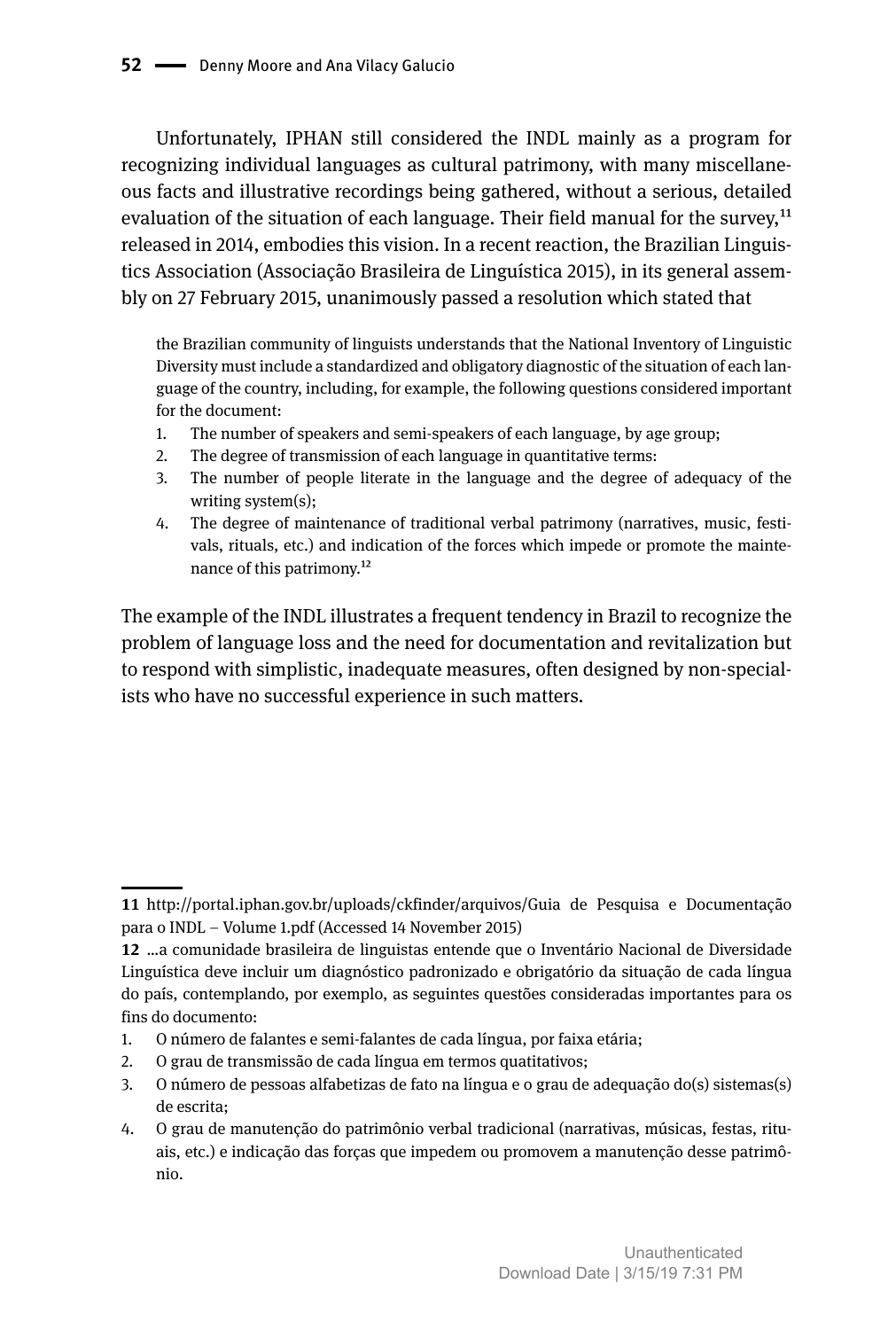Unfortunately, IPHAN still considered the INDL mainly as a program for recognizing individual languages as cultural patrimony, with many miscellaneous facts and illustrative recordings being gathered, without a serious, detailed evaluation of the situation of each language. Their field manual for the survey, $^{11}$ released in 2014, embodies this vision. In a recent reaction, the Brazilian Linguistics Association (Associação Brasileira de Linguística 2015), in its general assembly on 27 February 2015, unanimously passed a resolution which stated that

the Brazilian community of linguists understands that the National Inventory of Linguistic Diversity must include a standardized and obligatory diagnostic of the situation of each language of the country, including, for example, the following questions considered important for the document:

- 1. The number of speakers and semi-speakers of each language, by age group;
- 2. The degree of transmission of each language in quantitative terms:
- 3. The number of people literate in the language and the degree of adequacy of the writing system(s);
- 4. The degree of maintenance of traditional verbal patrimony (narratives, music, festivals, rituals, etc.) and indication of the forces which impede or promote the maintenance of this patrimony.12

The example of the INDL illustrates a frequent tendency in Brazil to recognize the problem of language loss and the need for documentation and revitalization but to respond with simplistic, inadequate measures, often designed by non-specialists who have no successful experience in such matters.

- 1. O número de falantes e semi-falantes de cada língua, por faixa etária;
- 2. O grau de transmissão de cada língua em termos quatitativos;
- 3. O número de pessoas alfabetizas de fato na língua e o grau de adequação do(s) sistemas(s) de escrita;

**<sup>11</sup>** http://portal.iphan.gov.br/uploads/ckfinder/arquivos/Guia de Pesquisa e Documentação para o INDL – Volume 1.pdf (Accessed 14 November 2015)

**<sup>12</sup>** …a comunidade brasileira de linguistas entende que o Inventário Nacional de Diversidade Linguística deve incluir um diagnóstico padronizado e obrigatório da situação de cada língua do país, contemplando, por exemplo, as seguintes questões consideradas importantes para os fins do documento:

<sup>4.</sup> O grau de manutenção do patrimônio verbal tradicional (narrativas, músicas, festas, rituais, etc.) e indicação das forças que impedem ou promovem a manutenção desse patrimônio.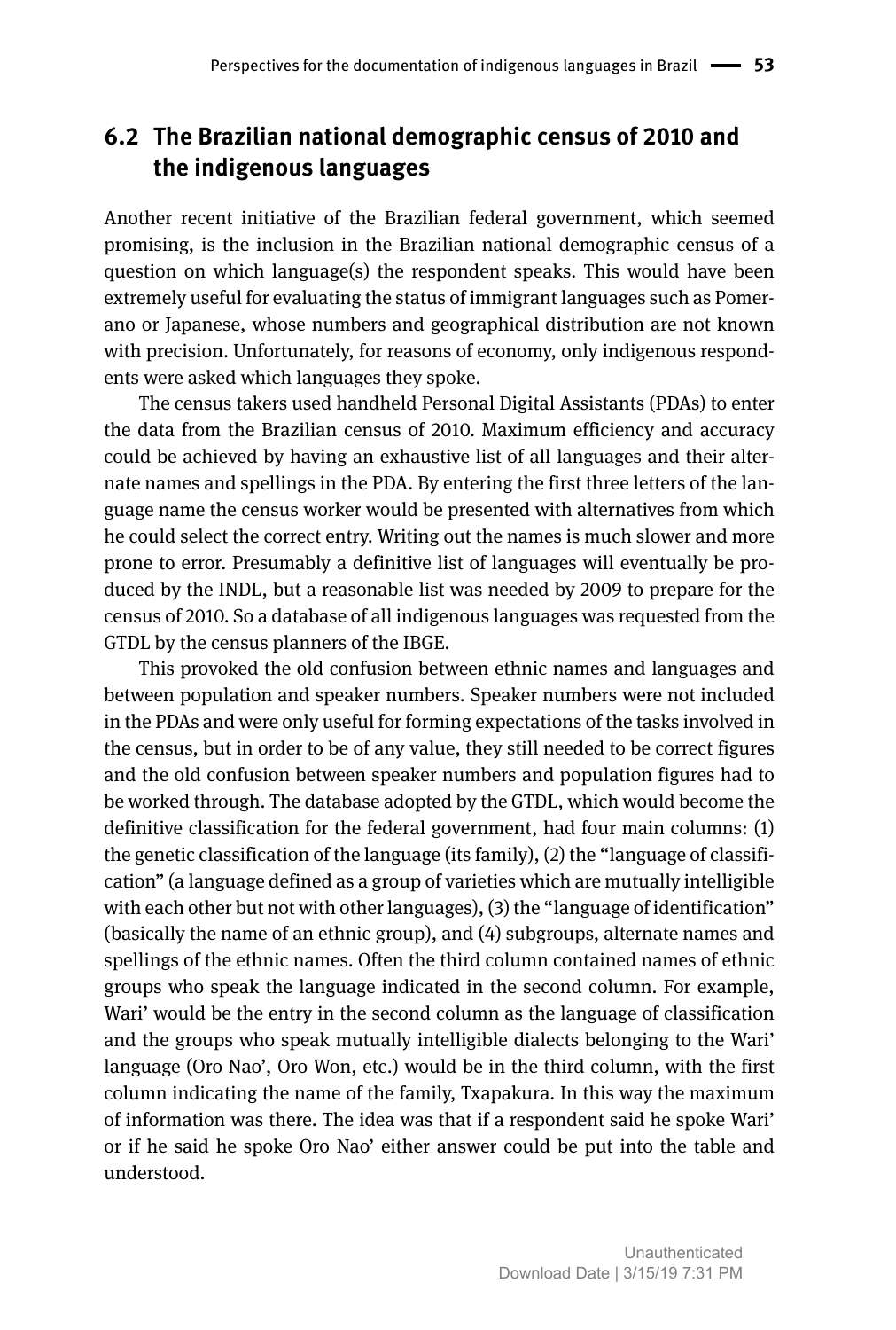#### **6.2 The Brazilian national demographic census of 2010 and the indigenous languages**

Another recent initiative of the Brazilian federal government, which seemed promising, is the inclusion in the Brazilian national demographic census of a question on which language(s) the respondent speaks. This would have been extremely useful for evaluating the status of immigrant languages such as Pomerano or Japanese, whose numbers and geographical distribution are not known with precision. Unfortunately, for reasons of economy, only indigenous respondents were asked which languages they spoke.

The census takers used handheld Personal Digital Assistants (PDAs) to enter the data from the Brazilian census of 2010. Maximum efficiency and accuracy could be achieved by having an exhaustive list of all languages and their alternate names and spellings in the PDA. By entering the first three letters of the language name the census worker would be presented with alternatives from which he could select the correct entry. Writing out the names is much slower and more prone to error. Presumably a definitive list of languages will eventually be produced by the INDL, but a reasonable list was needed by 2009 to prepare for the census of 2010. So a database of all indigenous languages was requested from the GTDL by the census planners of the IBGE.

This provoked the old confusion between ethnic names and languages and between population and speaker numbers. Speaker numbers were not included in the PDAs and were only useful for forming expectations of the tasks involved in the census, but in order to be of any value, they still needed to be correct figures and the old confusion between speaker numbers and population figures had to be worked through. The database adopted by the GTDL, which would become the definitive classification for the federal government, had four main columns: (1) the genetic classification of the language (its family), (2) the "language of classification" (a language defined as a group of varieties which are mutually intelligible with each other but not with other languages), (3) the "language of identification" (basically the name of an ethnic group), and (4) subgroups, alternate names and spellings of the ethnic names. Often the third column contained names of ethnic groups who speak the language indicated in the second column. For example, Wari' would be the entry in the second column as the language of classification and the groups who speak mutually intelligible dialects belonging to the Wari' language (Oro Nao', Oro Won, etc.) would be in the third column, with the first column indicating the name of the family, Txapakura. In this way the maximum of information was there. The idea was that if a respondent said he spoke Wari' or if he said he spoke Oro Nao' either answer could be put into the table and understood.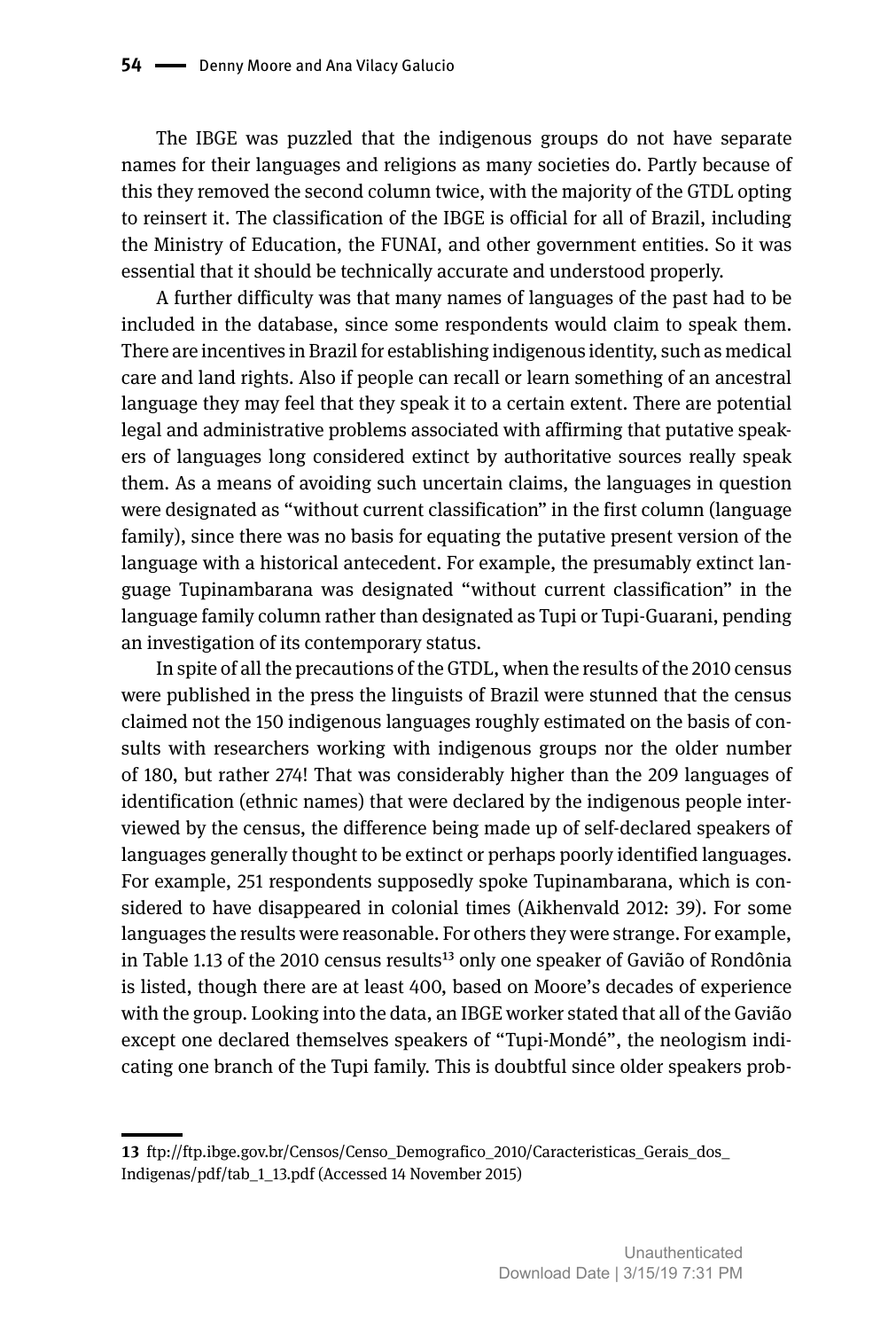The IBGE was puzzled that the indigenous groups do not have separate names for their languages and religions as many societies do. Partly because of this they removed the second column twice, with the majority of the GTDL opting to reinsert it. The classification of the IBGE is official for all of Brazil, including the Ministry of Education, the FUNAI, and other government entities. So it was essential that it should be technically accurate and understood properly.

A further difficulty was that many names of languages of the past had to be included in the database, since some respondents would claim to speak them. There are incentives in Brazil for establishing indigenous identity, such as medical care and land rights. Also if people can recall or learn something of an ancestral language they may feel that they speak it to a certain extent. There are potential legal and administrative problems associated with affirming that putative speakers of languages long considered extinct by authoritative sources really speak them. As a means of avoiding such uncertain claims, the languages in question were designated as "without current classification" in the first column (language family), since there was no basis for equating the putative present version of the language with a historical antecedent. For example, the presumably extinct language Tupinambarana was designated "without current classification" in the language family column rather than designated as Tupi or Tupi-Guarani, pending an investigation of its contemporary status.

In spite of all the precautions of the GTDL, when the results of the 2010 census were published in the press the linguists of Brazil were stunned that the census claimed not the 150 indigenous languages roughly estimated on the basis of consults with researchers working with indigenous groups nor the older number of 180, but rather 274! That was considerably higher than the 209 languages of identification (ethnic names) that were declared by the indigenous people interviewed by the census, the difference being made up of self-declared speakers of languages generally thought to be extinct or perhaps poorly identified languages. For example, 251 respondents supposedly spoke Tupinambarana, which is considered to have disappeared in colonial times (Aikhenvald 2012: 39). For some languages the results were reasonable. For others they were strange. For example, in Table 1.13 of the 2010 census results $13$  only one speaker of Gavião of Rondônia is listed, though there are at least 400, based on Moore's decades of experience with the group. Looking into the data, an IBGE worker stated that all of the Gavião except one declared themselves speakers of "Tupi-Mondé", the neologism indicating one branch of the Tupi family. This is doubtful since older speakers prob-

**<sup>13</sup>** ftp://ftp.ibge.gov.br/Censos/Censo\_Demografico\_2010/Caracteristicas\_Gerais\_dos\_ Indigenas/pdf/tab\_1\_13.pdf (Accessed 14 November 2015)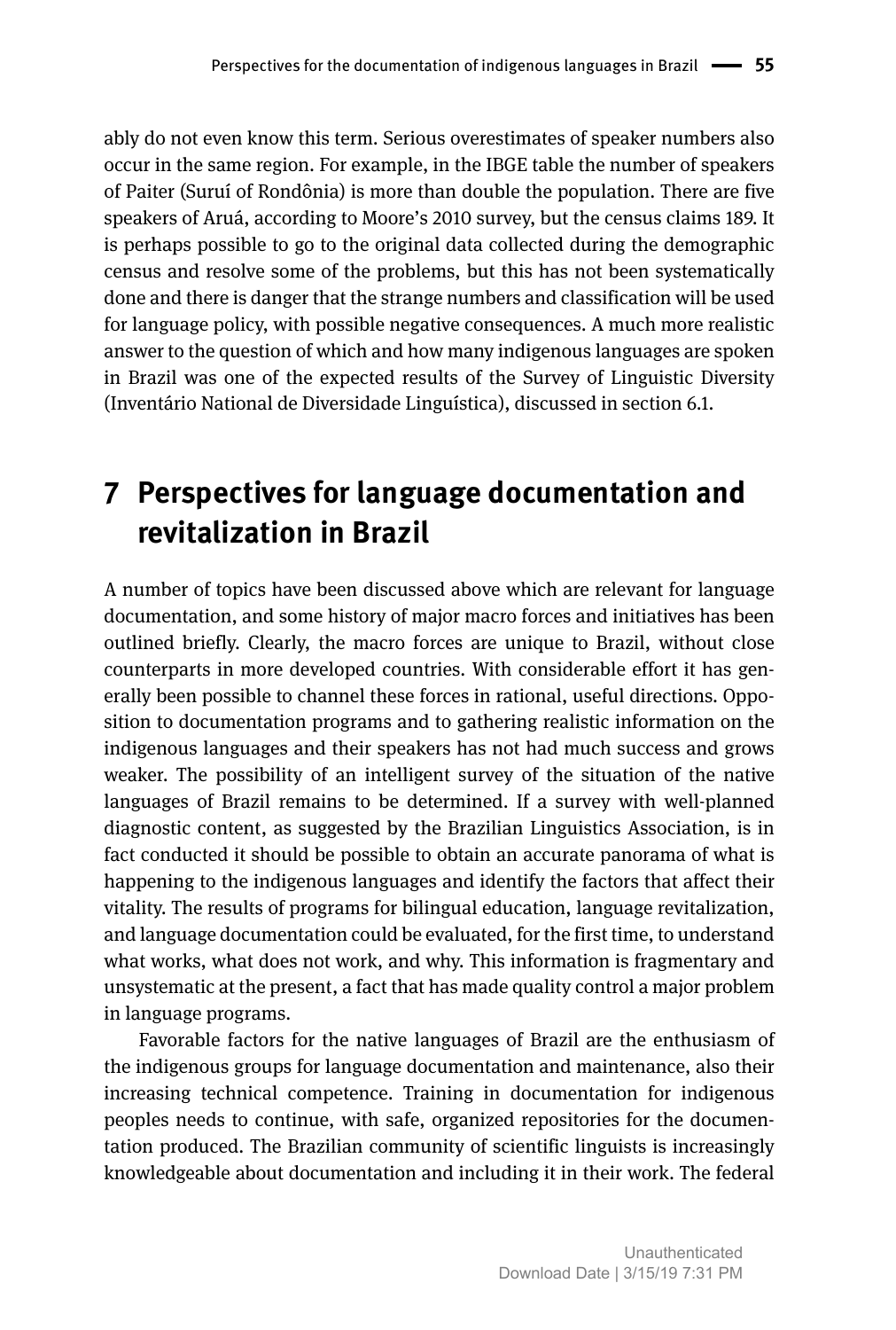ably do not even know this term. Serious overestimates of speaker numbers also occur in the same region. For example, in the IBGE table the number of speakers of Paiter (Suruí of Rondônia) is more than double the population. There are five speakers of Aruá, according to Moore's 2010 survey, but the census claims 189. It is perhaps possible to go to the original data collected during the demographic census and resolve some of the problems, but this has not been systematically done and there is danger that the strange numbers and classification will be used for language policy, with possible negative consequences. A much more realistic answer to the question of which and how many indigenous languages are spoken in Brazil was one of the expected results of the Survey of Linguistic Diversity (Inventário National de Diversidade Linguística), discussed in section 6.1.

# **7 Perspectives for language documentation and revitalization in Brazil**

A number of topics have been discussed above which are relevant for language documentation, and some history of major macro forces and initiatives has been outlined briefly. Clearly, the macro forces are unique to Brazil, without close counterparts in more developed countries. With considerable effort it has generally been possible to channel these forces in rational, useful directions. Opposition to documentation programs and to gathering realistic information on the indigenous languages and their speakers has not had much success and grows weaker. The possibility of an intelligent survey of the situation of the native languages of Brazil remains to be determined. If a survey with well-planned diagnostic content, as suggested by the Brazilian Linguistics Association, is in fact conducted it should be possible to obtain an accurate panorama of what is happening to the indigenous languages and identify the factors that affect their vitality. The results of programs for bilingual education, language revitalization, and language documentation could be evaluated, for the first time, to understand what works, what does not work, and why. This information is fragmentary and unsystematic at the present, a fact that has made quality control a major problem in language programs.

Favorable factors for the native languages of Brazil are the enthusiasm of the indigenous groups for language documentation and maintenance, also their increasing technical competence. Training in documentation for indigenous peoples needs to continue, with safe, organized repositories for the documentation produced. The Brazilian community of scientific linguists is increasingly knowledgeable about documentation and including it in their work. The federal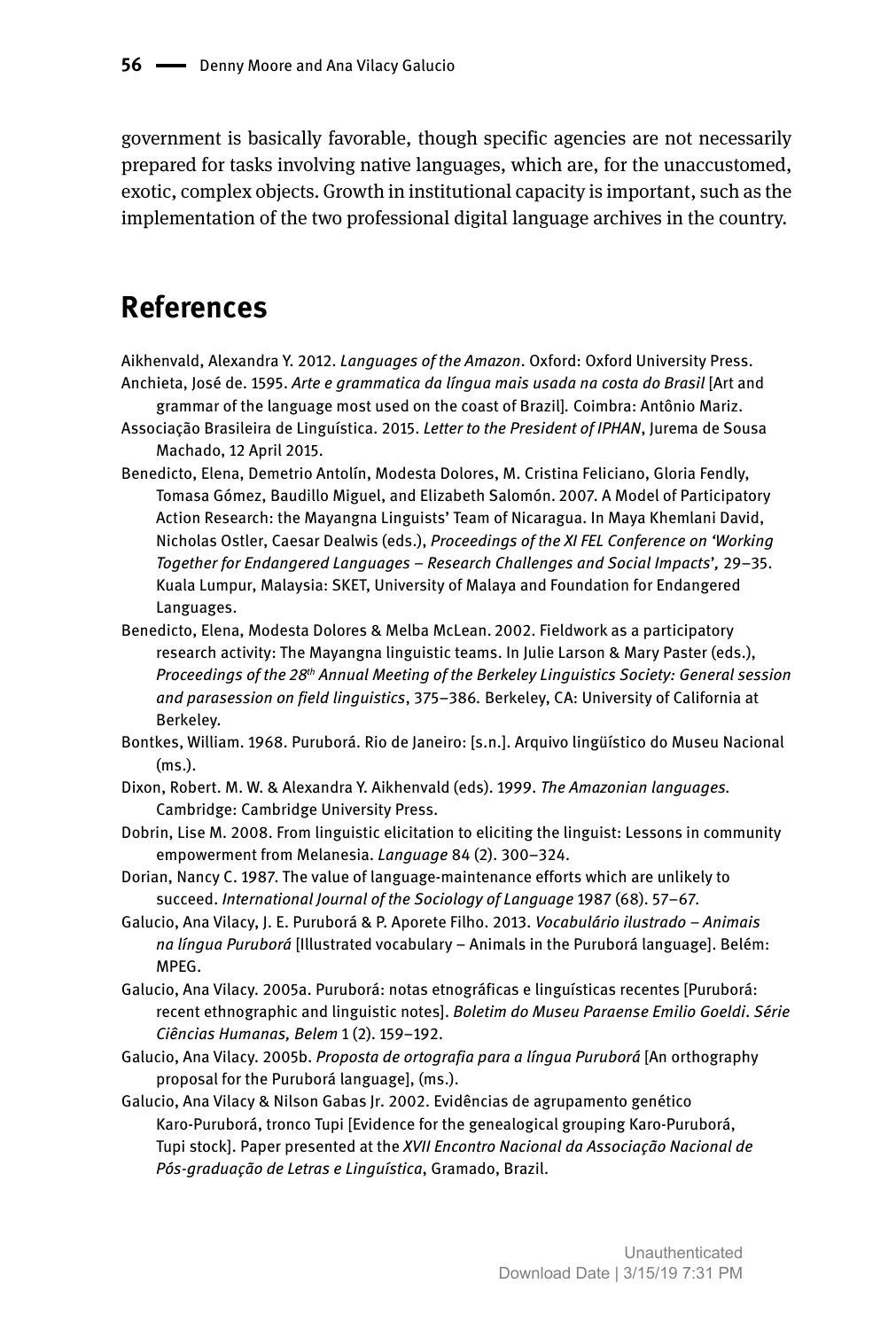government is basically favorable, though specific agencies are not necessarily prepared for tasks involving native languages, which are, for the unaccustomed, exotic, complex objects. Growth in institutional capacity is important, such as the implementation of the two professional digital language archives in the country.

## **References**

- Aikhenvald, Alexandra Y. 2012. *Languages of the Amazon*. Oxford: Oxford University Press. Anchieta, José de. 1595. *Arte e grammatica da língua mais usada na costa do Brasil* [Art and
- grammar of the language most used on the coast of Brazil]*.* Coimbra: Antônio Mariz. Associação Brasileira de Linguística. 2015. *Letter to the President of IPHAN*, Jurema de Sousa

Machado, 12 April 2015.

- Benedicto, Elena, Demetrio Antolín, Modesta Dolores, M. Cristina Feliciano, Gloria Fendly, Tomasa Gómez, Baudillo Miguel, and Elizabeth Salomón. 2007. A Model of Participatory Action Research: the Mayangna Linguists' Team of Nicaragua. In Maya Khemlani David, Nicholas Ostler, Caesar Dealwis (eds.), *Proceedings of the XI FEL Conference on 'Working Together for Endangered Languages – Research Challenges and Social Impacts*'*,* 29–35. Kuala Lumpur, Malaysia: SKET, University of Malaya and Foundation for Endangered Languages.
- Benedicto, Elena, Modesta Dolores & Melba McLean. 2002. Fieldwork as a participatory research activity: The Mayangna linguistic teams. In Julie Larson & Mary Paster (eds.), *Proceedings of the 28th Annual Meeting of the Berkeley Linguistics Society: General session and parasession on field linguistics*, 375–386*.* Berkeley, CA: University of California at Berkeley.
- Bontkes, William. 1968. Puruborá. Rio de Janeiro: [s.n.]. Arquivo lingüístico do Museu Nacional (ms.).
- Dixon, Robert. M. W. & Alexandra Y. Aikhenvald (eds). 1999. *The Amazonian languages.* Cambridge: Cambridge University Press.
- Dobrin, Lise M. 2008. From linguistic elicitation to eliciting the linguist: Lessons in community empowerment from Melanesia. *Language* 84 (2). 300–324.
- Dorian, Nancy C. 1987. The value of language-maintenance efforts which are unlikely to succeed. *International Journal of the Sociology of Language* 1987 (68). 57–67.
- Galucio, Ana Vilacy, J. E. Puruborá & P. Aporete Filho. 2013. *Vocabulário ilustrado Animais na língua Puruborá* [Illustrated vocabulary – Animals in the Puruborá language]. Belém: MPEG.
- Galucio, Ana Vilacy. 2005a. Puruborá: notas etnográficas e linguísticas recentes [Puruborá: recent ethnographic and linguistic notes]. *Boletim do Museu Paraense Emilio Goeldi*. *Série Ciências Humanas, Belem* 1 (2). 159–192.
- Galucio, Ana Vilacy. 2005b. *Proposta de ortografia para a língua Puruborá* [An orthography proposal for the Puruborá language], (ms.).
- Galucio, Ana Vilacy & Nilson Gabas Jr. 2002. Evidências de agrupamento genético Karo-Puruborá, tronco Tupi [Evidence for the genealogical grouping Karo-Puruborá, Tupi stock]. Paper presented at the *XVII Encontro Nacional da Associação Nacional de Pós-graduação de Letras e Linguística*, Gramado, Brazil.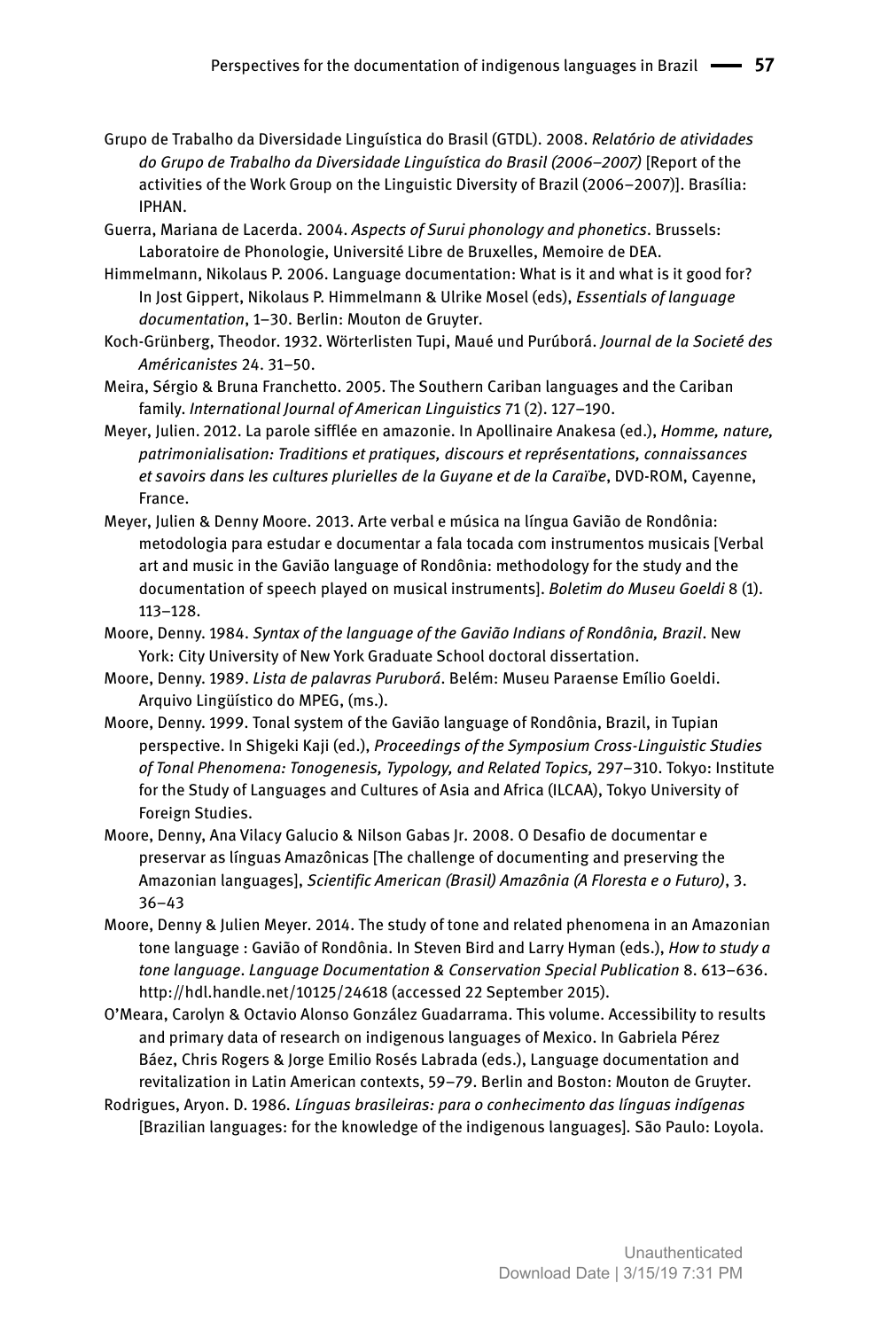- Grupo de Trabalho da Diversidade Linguística do Brasil (GTDL). 2008. *Relatório de atividades do Grupo de Trabalho da Diversidade Linguística do Brasil (2006–2007)* [Report of the activities of the Work Group on the Linguistic Diversity of Brazil (2006–2007)]. Brasília: IPHAN.
- Guerra, Mariana de Lacerda. 2004. *Aspects of Surui phonology and phonetics*. Brussels: Laboratoire de Phonologie, Université Libre de Bruxelles, Memoire de DEA.
- Himmelmann, Nikolaus P. 2006. Language documentation: What is it and what is it good for? In Jost Gippert, Nikolaus P. Himmelmann & Ulrike Mosel (eds), *Essentials of language documentation*, 1–30. Berlin: Mouton de Gruyter.
- Koch-Grünberg, Theodor. 1932. Wörterlisten Tupi, Maué und Purúborá. *Journal de la Societé des Américanistes* 24. 31–50.
- Meira, Sérgio & Bruna Franchetto. 2005. The Southern Cariban languages and the Cariban family. *International Journal of American Linguistics* 71 (2). 127–190.
- Meyer, Julien. 2012. La parole sifflée en amazonie. In Apollinaire Anakesa (ed.), *Homme, nature, patrimonialisation: Traditions et pratiques, discours et représentations, connaissances et savoirs dans les cultures plurielles de la Guyane et de la Caraïbe*, DVD-ROM, Cayenne, France.
- Meyer, Julien & Denny Moore. 2013. Arte verbal e música na língua Gavião de Rondônia: metodologia para estudar e documentar a fala tocada com instrumentos musicais [Verbal art and music in the Gavião language of Rondônia: methodology for the study and the documentation of speech played on musical instruments]. *Boletim do Museu Goeldi* 8 (1). 113–128.
- Moore, Denny. 1984. *Syntax of the language of the Gavião Indians of Rondônia, Brazil*. New York: City University of New York Graduate School doctoral dissertation.
- Moore, Denny. 1989. *Lista de palavras Puruborá*. Belém: Museu Paraense Emílio Goeldi. Arquivo Lingüístico do MPEG, (ms.).
- Moore, Denny. 1999. Tonal system of the Gavião language of Rondônia, Brazil, in Tupian perspective. In Shigeki Kaji (ed.), *Proceedings of the Symposium Cross-Linguistic Studies of Tonal Phenomena: Tonogenesis, Typology, and Related Topics,* 297–310. Tokyo: Institute for the Study of Languages and Cultures of Asia and Africa (ILCAA), Tokyo University of Foreign Studies.
- Moore, Denny, Ana Vilacy Galucio & Nilson Gabas Jr. 2008. O Desafio de documentar e preservar as línguas Amazônicas [The challenge of documenting and preserving the Amazonian languages], *Scientific American (Brasil) Amazônia (A Floresta e o Futuro)*, 3. 36–43
- Moore, Denny & Julien Meyer. 2014. The study of tone and related phenomena in an Amazonian tone language : Gavião of Rondônia. In Steven Bird and Larry Hyman (eds.), *How to study a tone language*. *Language Documentation & Conservation Special Publication* 8. 613–636. http://hdl.handle.net/10125/24618 (accessed 22 September 2015).
- O'Meara, Carolyn & Octavio Alonso González Guadarrama. This volume. Accessibility to results and primary data of research on indigenous languages of Mexico. In Gabriela Pérez Báez, Chris Rogers & Jorge Emilio Rosés Labrada (eds.), Language documentation and revitalization in Latin American contexts, 59–79. Berlin and Boston: Mouton de Gruyter.
- Rodrigues, Aryon. D. 1986*. Línguas brasileiras: para o conhecimento das línguas indígenas*  [Brazilian languages: for the knowledge of the indigenous languages]*.* São Paulo: Loyola.